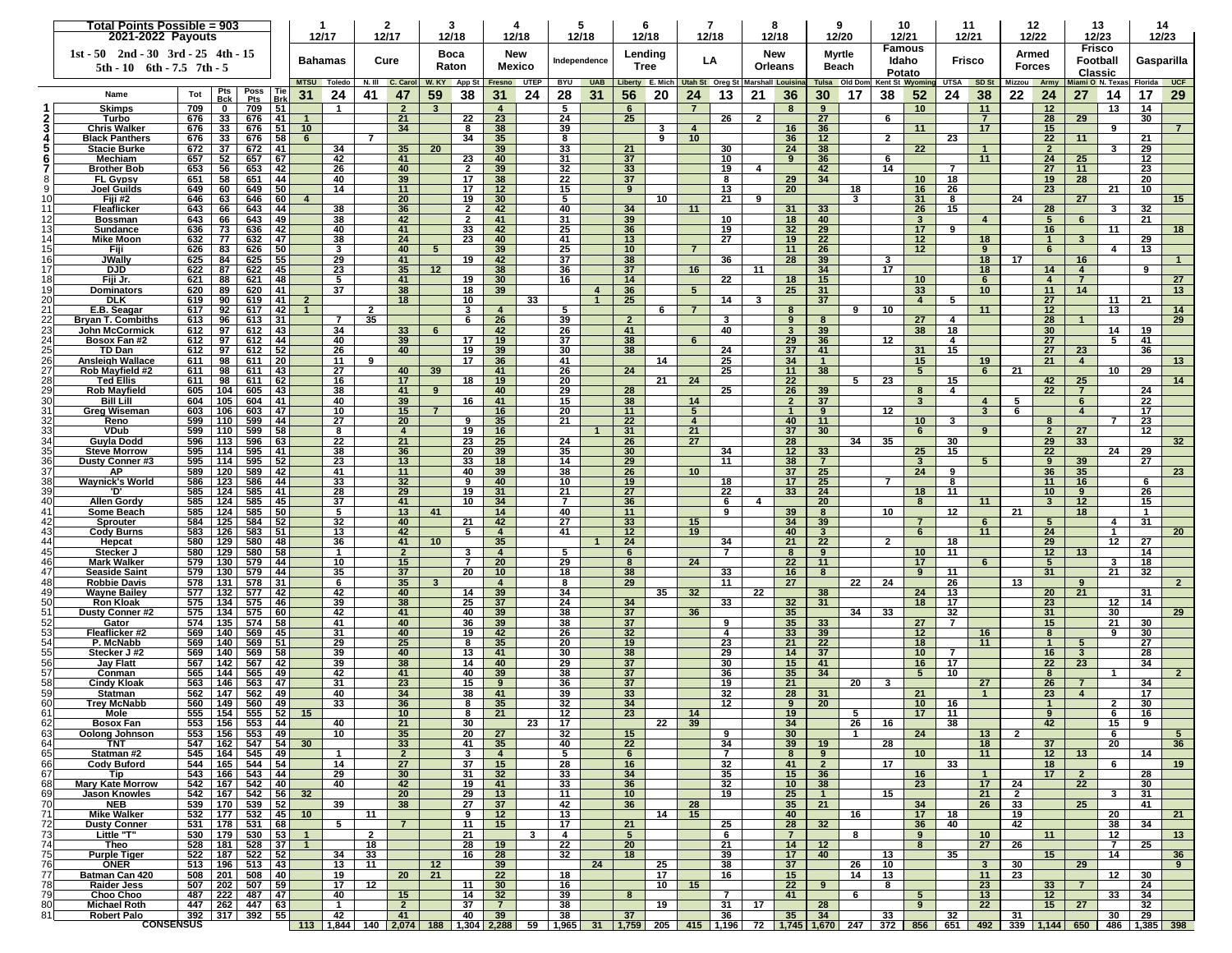|                       | Total Points Possible = 903<br>2021-2022 Payouts                          |            |                   |                                                |            | 12/17                            |                | $\mathbf{2}$<br>-3<br>12/17<br>12/18 |                      |                 |                                  | 12/18                             | 5<br>12/18    |                 | 6<br>12/18   |                       | 12/18          |                  | 12/18                |                | 9<br>12/20                                        |                                                                                                                                                                                                                                            | 10<br>12/21<br><b>Famous</b> |                 |                         |                      | 11<br>12/21                       |                      | 12<br>12/22             |                      | 13<br>12/23<br>Frisco        |              | 14<br>12/23     |  |
|-----------------------|---------------------------------------------------------------------------|------------|-------------------|------------------------------------------------|------------|----------------------------------|----------------|--------------------------------------|----------------------|-----------------|----------------------------------|-----------------------------------|---------------|-----------------|--------------|-----------------------|----------------|------------------|----------------------|----------------|---------------------------------------------------|--------------------------------------------------------------------------------------------------------------------------------------------------------------------------------------------------------------------------------------------|------------------------------|-----------------|-------------------------|----------------------|-----------------------------------|----------------------|-------------------------|----------------------|------------------------------|--------------|-----------------|--|
|                       | $1st - 50$ $2nd - 30$ $3rd - 25$ $4th - 15$<br>5th - 10 6th - 7.5 7th - 5 |            |                   |                                                |            |                                  | <b>Bahamas</b> |                                      | Cure                 |                 | Boca<br>Raton                    |                                   | New<br>Mexico |                 | Independence | Lending<br>Tree       |                | LA               |                      | New<br>Orleans |                                                   | <b>Myrtle</b><br>Beach                                                                                                                                                                                                                     |                              | Idaho<br>Potato |                         | Frisco               |                                   |                      | Armed<br><b>Forces</b>  | Classic              | Football                     | Gasparilla   |                 |  |
|                       | Poss<br>Pts<br>  Tie                                                      |            |                   |                                                |            |                                  | MTSU Toledo    |                                      | N. III C. Carol      |                 | W. KY App St Fresno UTEP         |                                   |               |                 | BYU UAB      |                       |                |                  |                      |                | Liberty E. Mich Utah St Oreg St Marshall Louisina | Tulsa Old Dom                                                                                                                                                                                                                              |                              |                 | Kent St Wyoming         | <b>UTSA</b>          | SD <sub>St</sub>                  |                      | Mizzou Army             |                      | Miami O N. Texas             | Florida UCF  |                 |  |
|                       | Name                                                                      | Tot        | <b>Bck</b>        | Pts                                            | Brk        | 31                               | 24             | 41                                   | 47                   | 59              | 38                               | 31                                | 24            | 28              | 31           | 56                    | 20             | 24               | 13                   | 21             | 36                                                | 30                                                                                                                                                                                                                                         | 17                           | 38              | 52                      | 24                   | 38                                | 22                   | 24                      | 27                   | 14                           | 17           | 29              |  |
|                       | <b>Skimps</b>                                                             | 709        | $\mathbf 0$<br>33 | 709                                            | 51         |                                  | -1             |                                      | $\overline{2}$       | 3               |                                  | 4<br>23                           |               | 5               |              | 6                     |                | 7                |                      |                | 8                                                 | 9                                                                                                                                                                                                                                          |                              |                 | 10 <sub>1</sub>         |                      | 11                                |                      | 12                      | 29                   | 13                           | 14           |                 |  |
|                       | Turbo<br>Chris Walker                                                     | 676<br>676 | 33                | 676<br>676                                     | 41<br>-51  | 10                               |                |                                      | 21<br>34             |                 | 22<br>8                          | 38                                |               | 24<br>39        |              | 25                    | 3              | $\boldsymbol{A}$ | 26                   | -2             | 16                                                | 27<br>36                                                                                                                                                                                                                                   |                              | 6               | 11                      |                      | $\overline{7}$<br>17 <sup>2</sup> |                      | 28<br>15                |                      | 9                            | 30           |                 |  |
|                       | <b>Black Panthers</b>                                                     | 676        | 33                | 676                                            | 58         | 6                                |                | $\overline{7}$                       |                      |                 | 34                               | 35                                |               | 8               |              |                       | 9              | 10               |                      |                | 36                                                | 12                                                                                                                                                                                                                                         |                              | $\mathbf{2}$    |                         | 23                   |                                   |                      | 22                      | 11                   |                              | 21           |                 |  |
|                       | Stacie Burke                                                              | 672        | 37                | 672                                            | 41         |                                  | 34             |                                      | 35                   | 20              |                                  | 39                                |               | 33              |              | 21                    |                |                  | 30                   |                | 24                                                | 38                                                                                                                                                                                                                                         |                              |                 | 22                      |                      | $\mathbf{1}$                      |                      | $\overline{2}$          |                      | 3                            | 29           |                 |  |
|                       | Mechiam                                                                   | 657        | 52                | 657                                            | 67         |                                  | 42             |                                      | 41                   |                 | 23                               | 40                                |               | 31              |              | 37                    |                |                  | 10                   |                | 9                                                 | 36                                                                                                                                                                                                                                         |                              | 6<br>14         |                         | 7                    | 11                                |                      | 24                      | 25<br>11             |                              | 12           |                 |  |
|                       | <b>Brother Bob</b><br><b>FL Gypsy</b>                                     | 653<br>651 | 56<br>58          | 653<br>651                                     | -42<br>-44 |                                  | 26<br>40       |                                      | 40<br>39             |                 | $\mathbf{2}$<br>17               | 39<br>38                          |               | 32<br>22        |              | 33<br>37              |                |                  | 19<br>8              | 4              | 29                                                | 42<br>34                                                                                                                                                                                                                                   |                              |                 | 10 <sup>1</sup>         | 18                   |                                   |                      | 27<br>19                | 28                   |                              | 23<br>20     |                 |  |
|                       | Joel Guilds                                                               | 649        | 60                | 649                                            | -50        |                                  | 14             |                                      | 11                   |                 | 17                               | 12 <sub>2</sub>                   |               | 15              |              | 9                     |                |                  | 13                   |                | 20                                                |                                                                                                                                                                                                                                            | 18                           |                 | 16                      | 26                   |                                   |                      | 23                      |                      | 21                           | 10           |                 |  |
| 10                    | Fiji #2                                                                   | 646        | 63                | 646                                            | 60         | $\boldsymbol{A}$                 |                |                                      | 20                   |                 | 19                               | 30                                |               | 5               |              |                       | 10             |                  | 21                   | 9              |                                                   |                                                                                                                                                                                                                                            | 3                            |                 | 31                      | 8                    |                                   | 24                   |                         | 27                   |                              |              | 15 <sub>1</sub> |  |
| 11<br>121             | Fleaflicker<br><b>Bossman</b>                                             | 643<br>643 | 66<br>66          | 643<br>643                                     | 44<br>-49  |                                  | 38<br>38       |                                      | 36<br>42             |                 | $\overline{2}$<br>$\overline{2}$ | 42<br>41                          |               | 40<br>31        |              | 34<br>39              |                | 11               | 10                   |                | 31<br>18                                          | 33<br>40                                                                                                                                                                                                                                   |                              |                 | 26<br>3                 | 15                   | $\overline{4}$                    |                      | 28<br>5                 | 6                    | -3                           | 32<br>21     |                 |  |
| 13                    | Sundance                                                                  | 636        | 73                | 636                                            | -42        |                                  | 40             |                                      | 41                   |                 | 33                               | 42                                |               | 25              |              | 36                    |                |                  | 19                   |                | 32                                                | 29                                                                                                                                                                                                                                         |                              |                 | 17                      | 9                    |                                   |                      | 16                      |                      | 11                           |              | 18              |  |
| 14                    | Mike Moon                                                                 | 632        | 77                | 632                                            | 47         |                                  | 38             |                                      | 24                   |                 | 23                               | 40                                |               | 41              |              | 13                    |                |                  | 27                   |                | 19                                                | 22                                                                                                                                                                                                                                         |                              |                 | 12 <sub>2</sub>         |                      | 18                                |                      | 1                       |                      |                              | 29           |                 |  |
| 15                    | Fiii                                                                      | 626        | 83                | 626                                            | -50        |                                  | 3              |                                      | 40                   | 5               |                                  | 39                                |               | 25              |              | 10 <sup>1</sup>       |                | $\overline{7}$   |                      |                | 11                                                | 26                                                                                                                                                                                                                                         |                              | 3               | 12 <sup>2</sup>         |                      | 9                                 | 17                   | 6                       |                      | 4                            | 13           | $\mathbf{1}$    |  |
| 16<br>17              | JWally<br><b>DJD</b>                                                      | 625<br>622 | 84<br>87          | 625<br>622                                     | 55<br>45   |                                  | 29<br>23       |                                      | 41<br>35             | 12              | 19                               | 42<br>38                          |               | 37<br>36        |              | 38<br>37              |                | 16               | 36                   | 11             | 28                                                | 39<br>34                                                                                                                                                                                                                                   |                              | 17              |                         |                      | 18<br>18                          |                      | 14                      | 16<br>$\overline{4}$ |                              | 9            |                 |  |
| 18                    | Fiji Jr.                                                                  | 621        | 88                | 621                                            | 48         |                                  | 5              |                                      | 41                   |                 | 19                               | 30 <sup>°</sup>                   |               | 16              |              | 14                    |                |                  | $\overline{22}$      |                | 18                                                | 15                                                                                                                                                                                                                                         |                              |                 | 10                      |                      | 6                                 |                      | $\overline{\mathbf{4}}$ | $\overline{7}$       |                              |              | 27              |  |
| 19                    | Dominators                                                                | 620        | 89                | 620                                            | 41         |                                  | 37             |                                      | 38                   |                 | 18                               | 39                                |               |                 |              | 36                    |                | $\sqrt{5}$       |                      |                | 25                                                | 31                                                                                                                                                                                                                                         |                              |                 | 33                      |                      | 10                                |                      | 11                      | 14                   |                              |              | 13              |  |
| 20<br>21              | <b>DLK</b><br>E.B. Seagar                                                 | 619<br>617 | 90<br>92          | 619<br>617                                     | 41<br>42   | 2<br>-1                          |                | $\mathbf{2}$                         | 18                   |                 | 10<br>3                          | $\overline{4}$                    | 33            | 5.              |              | 25                    | 6              | $\overline{7}$   | 14                   | 3              | 8                                                 | 37                                                                                                                                                                                                                                         | 9                            | 10              | $\overline{4}$          | 5                    | 11                                |                      | 27<br>12                |                      | 11<br>13                     | 21           | 14              |  |
| 22                    | <b>Bryan T. Combiths</b>                                                  | 613        | 96                | 613                                            | -31        |                                  | $\overline{7}$ | 35                                   |                      |                 | 6                                | 26                                |               | 39              |              | $\overline{2}$        |                |                  | 3                    |                | 9                                                 | 8                                                                                                                                                                                                                                          |                              |                 | 27                      | 4                    |                                   |                      | 28                      |                      |                              |              | 29              |  |
| 23                    | <b>John McCormick</b>                                                     | 612        | 97                | 612                                            | 43         |                                  | 34             |                                      | 33                   | 6               |                                  | 42                                |               | 26              |              | 41                    |                |                  | 40                   |                | $\overline{\mathbf{3}}$                           | 39                                                                                                                                                                                                                                         |                              |                 | 38                      | 18                   |                                   |                      | 30                      |                      | 14                           | 19           |                 |  |
| 24                    | Bosox Fan #2                                                              | 612        | 97                | 612                                            | 44         |                                  | 40             |                                      | 39                   |                 | 17                               | 19                                |               | 37              |              | 38                    |                | 6                |                      |                | 29                                                | 36                                                                                                                                                                                                                                         |                              | 12              |                         | 4                    |                                   |                      | 27                      |                      | 5                            | 41           |                 |  |
| 25<br>26              | TD Dan<br>Ansleigh Wallace                                                | 612<br>611 | 97<br>98          | 612<br>611                                     | 52<br>-20  |                                  | 26<br>11       | 9                                    | 40                   |                 | 19<br>17                         | 39<br>36                          |               | 30<br>41        |              | 38                    | 14             |                  | 24<br>25             |                | 37<br>34                                          | 41<br>-1                                                                                                                                                                                                                                   |                              |                 | 31<br>15                | 15                   | 19                                |                      | 27<br>21                | 23<br>$\overline{4}$ |                              | 36           | 13              |  |
| 27                    | Rob Mayfield #2                                                           | 611        | 98                | 611                                            | 43         |                                  | 27             |                                      | 40                   | 39              |                                  | 41                                |               | 26              |              | 24                    |                |                  | 25                   |                | 11                                                | 38                                                                                                                                                                                                                                         |                              |                 | 5 <sup>5</sup>          |                      | 6                                 | 21                   |                         |                      | 10                           | 29           |                 |  |
| 28                    | Ted Ellis                                                                 | 611        | 98                | 611                                            | 62         |                                  | 16             |                                      | 17                   |                 | 18                               | 19                                |               | 20              |              |                       | 21             | 24               |                      |                | 22                                                |                                                                                                                                                                                                                                            | 5                            | 23              |                         | 15                   |                                   |                      | 42                      | 25                   |                              |              | 14              |  |
| 29<br>30 <sup>l</sup> | <b>Rob Mayfield</b><br><b>Bill Lill</b>                                   | 605<br>604 | 104<br>105        | 605<br>604                                     | 43<br>-41  |                                  | 38<br>40       |                                      | 41<br>39             | 9               | 16                               | 40<br>41                          |               | 29<br>15        |              | 28<br>38              |                | 14               | 25                   |                | 26<br>$\overline{2}$                              | 39<br>37                                                                                                                                                                                                                                   |                              |                 | 8<br>$\overline{3}$     | $\overline{4}$       | $\overline{4}$                    | 5                    | 22                      | $\overline{7}$<br>6  |                              | 24<br>22     |                 |  |
| 31                    | Greg Wiseman                                                              | 603        | 106               | 603                                            | -47        |                                  | 10             |                                      | 15                   | $\overline{7}$  |                                  | 16                                |               | 20              |              | 11                    |                | 5                |                      |                | $\mathbf{1}$                                      | 9                                                                                                                                                                                                                                          |                              | 12              |                         |                      | $\mathbf{3}$                      | 6                    |                         | $\overline{4}$       |                              | 17           |                 |  |
| 321                   | Reno                                                                      | 599        | 110               | 599                                            | 44         |                                  | 27             |                                      | 20                   |                 | 9                                | 35                                |               | 21              |              | 22                    |                | $\overline{4}$   |                      |                | 40                                                | 11                                                                                                                                                                                                                                         |                              |                 | 10 <sup>1</sup>         | 3                    |                                   |                      | 8                       |                      | $\overline{7}$               | 23           |                 |  |
| 33 <sub>l</sub>       | <b>VDub</b>                                                               | 599        | 110               | 599                                            | 58         |                                  | 8              |                                      | $\overline{4}$       |                 | 19                               | 16                                |               |                 |              | 31                    |                | 21               |                      |                | 37                                                | 30 <sup>°</sup>                                                                                                                                                                                                                            |                              |                 | 6                       |                      | 9                                 |                      | $\overline{2}$          | 27                   |                              | 12           |                 |  |
| 341<br>35             | Guyla Dodd<br><b>Steve Morrow</b>                                         | 596<br>595 | 113<br>114        | 596<br>595                                     | 63<br>41   |                                  | 22<br>38       |                                      | 21<br>36             |                 | 23<br>20                         | 25<br>39                          |               | 24<br>35        |              | 26<br>30              |                | 27               | 34                   |                | 28<br>12                                          | 33                                                                                                                                                                                                                                         | 34                           | 35              | 25                      | 30<br>15             |                                   |                      | 29<br>22                | 33                   | 24                           | 29           | 32 <sub>2</sub> |  |
| 36                    | <b>Dusty Conner#3</b>                                                     | 595        | 114               | 595                                            | 52         |                                  | 23             |                                      | 13                   |                 | 33                               | 18                                |               | 14              |              | 29                    |                |                  | 11                   |                | 38                                                | $\overline{7}$                                                                                                                                                                                                                             |                              |                 | $\overline{\mathbf{3}}$ |                      | 5                                 |                      | 9                       | 39                   |                              | 27           |                 |  |
| 371                   | ΑP                                                                        | 589        | 120               | 589                                            | -42        |                                  | 41             |                                      | 11                   |                 | 40                               | 39                                |               | 38              |              | 26                    |                | 10               |                      |                | 37                                                | 25                                                                                                                                                                                                                                         |                              |                 | 24                      | 9                    |                                   |                      | 36                      | 35                   |                              |              | 23              |  |
| 38<br>39              | Waynick's World<br>יחי                                                    | 586<br>585 | 123<br>124        | 586<br>585                                     | 44<br>41   |                                  | 33<br>28       |                                      | 32<br>29             |                 | 9<br>19                          | 40<br>31                          |               | 10<br>21        |              | 19<br>27              |                |                  | 18<br>22             |                | 17<br>33                                          | 25<br>24                                                                                                                                                                                                                                   |                              | $\overline{7}$  | 18                      | 8<br>11              |                                   |                      | 11<br>10                | 16<br>9              |                              | 6<br>26      |                 |  |
| 40                    | <b>Allen Gordy</b>                                                        | 585        | 124               | 585                                            | 45         |                                  | 37             |                                      | 41                   |                 | 10                               | 34                                |               | 7               |              | 36                    |                |                  | 6                    | 4              |                                                   | 20                                                                                                                                                                                                                                         |                              |                 | 8                       |                      | 11                                |                      | $\mathbf{3}$            | 12 <sup>2</sup>      |                              | 15           |                 |  |
| 41                    | Some Beach                                                                | 585        | 124               | 585                                            | 50         |                                  | 5              |                                      | 13                   | 41              |                                  | 14                                |               | 40              |              | 11                    |                |                  | 9                    |                | 39                                                | 8                                                                                                                                                                                                                                          |                              | 10              |                         | 12                   |                                   | 21                   |                         | 18                   |                              | $\mathbf{1}$ |                 |  |
| 42<br>43              | Sprouter                                                                  | 584<br>583 | 125<br>126        | 584<br>583                                     | 52<br>-51  |                                  | 32<br>13       |                                      | 40<br>42             |                 | 21<br>5                          | 42<br>$\overline{4}$              |               | 27<br>41        |              | 33<br>12              |                | 15<br>19         |                      |                | 34<br>40                                          | 39<br>$\mathbf{3}$                                                                                                                                                                                                                         |                              |                 | $\overline{7}$<br>6     |                      | $6\phantom{.}6$<br>11             |                      | 5<br>$\overline{24}$    |                      | 4<br>$\overline{\mathbf{1}}$ | 31           | 20 <sub>2</sub> |  |
| 44                    | <b>Cody Burns</b><br>Hepcat                                               | 580        | 129               | 580                                            | 48         |                                  | 36             |                                      | 41                   | 10 <sup>°</sup> |                                  | 35                                |               |                 |              | 24                    |                |                  | 34                   |                | 21                                                | 22                                                                                                                                                                                                                                         |                              | $\overline{2}$  |                         | 18                   |                                   |                      | 29                      |                      | 12                           | 27           |                 |  |
| 45                    | Stecker J                                                                 | 580        | 129               | 580                                            | -58        |                                  | -1             |                                      | $\overline{2}$       |                 | 3                                | $\overline{4}$                    |               | 5.              |              | 6                     |                |                  | $\overline{7}$       |                | 8                                                 | 9                                                                                                                                                                                                                                          |                              |                 | 10 <sup>1</sup>         | 11                   |                                   |                      | 12 <sub>2</sub>         | 13                   |                              | 14           |                 |  |
| 46                    | <b>Mark Walker</b>                                                        | 579        | 130               | 579                                            | -44        |                                  | 10             |                                      | 15                   |                 | 7                                | 20                                |               | 29              |              | 8                     |                | 24               |                      |                | 22                                                | 11                                                                                                                                                                                                                                         |                              |                 | 17 <sub>2</sub>         |                      | 6                                 |                      | $5^{\circ}$             |                      | 3                            | 18           |                 |  |
| 47<br>48              | <b>Seaside Saint</b><br><b>Robbie Davis</b>                               | 579<br>578 | 130<br>131        | 579<br>578                                     | 44<br>31   |                                  | 35<br>6        |                                      | 37<br>35             |                 | 20                               | 10 <sup>1</sup><br>$\overline{4}$ |               | 18<br>8         |              | 38<br>29              |                |                  | 33<br>11             |                | 16<br>27                                          | 8                                                                                                                                                                                                                                          | 22                           | 24              | 9                       | 11<br>26             |                                   | 13                   | 31                      | $\mathbf{Q}$         | 21                           | 32           |                 |  |
| 49                    | <b>Wayne Bailey</b>                                                       | 577        | 132               | 577                                            | 42         |                                  | 42             |                                      | 40                   |                 | 14                               | 39                                |               | 34              |              |                       | 35             | 32               |                      | 22             |                                                   | 38                                                                                                                                                                                                                                         |                              |                 | 24                      | 13                   |                                   |                      | 20                      | 21                   |                              | 31           |                 |  |
| 50                    | <b>Ron Kloak</b>                                                          | 575        | 134               | 575                                            | 46         |                                  | 39             |                                      | 38                   |                 | 25                               | 37                                |               | 24              |              | 34                    |                |                  | 33                   |                | 32                                                | 31                                                                                                                                                                                                                                         |                              |                 | 18                      | 17                   |                                   |                      | 23                      |                      | 12                           | 14           |                 |  |
| 51<br>52 <sub>l</sub> | <b>Dusty Conner#2</b><br>Gator                                            | 575<br>574 | 134<br>135        | 575<br>574                                     | 60<br>-58  |                                  | 42<br>41       |                                      | 41<br>40             |                 | 40<br>36                         | 39<br>39                          |               | 38<br>38        |              | 37<br>37              |                | 36               | 9                    |                | 35<br>35                                          | 33                                                                                                                                                                                                                                         | 34                           | 33              | 27                      | 32<br>$\overline{7}$ |                                   |                      | 31<br>15                |                      | 30<br>21                     | 30           | 29              |  |
| 53                    | Fleaflicker #2                                                            | 569        | 140               | 569                                            | 45         |                                  | 31             |                                      | 40                   |                 | 19                               | 42                                |               | 26              |              | 32                    |                |                  | 4                    |                | 33                                                | 39                                                                                                                                                                                                                                         |                              |                 | 12 <sup>2</sup>         |                      | 16                                |                      | 8                       |                      | 9                            | 30           |                 |  |
| 54                    | P. McNabb                                                                 | 569        | 140               | 569                                            | 51         |                                  | 29             |                                      | 25                   |                 | 8                                | 35                                |               | 20              |              | 19                    |                |                  | 23                   |                | 21                                                | 22                                                                                                                                                                                                                                         |                              |                 | 18                      |                      | 11                                |                      | $\overline{1}$          | 5                    |                              | 27           |                 |  |
| 551<br>56             | Stecker J#2<br><b>Jay Flatt</b>                                           | 569<br>567 | 140<br>142        | 569<br>567                                     | -58<br>-42 |                                  | 39<br>39       |                                      | 40<br>38             |                 | 13<br>14                         | 41<br>40                          |               | 30<br>29        |              | 38<br>37              |                |                  | 29<br>30             |                | 14<br>15                                          | 37<br>41                                                                                                                                                                                                                                   |                              |                 | 10<br>16                | 7<br>17              |                                   |                      | 16<br>$\overline{22}$   | 3<br>23              |                              | 28<br>34     |                 |  |
| 57                    | Conman                                                                    | 565        | 144               | 565                                            | 49         |                                  | 42             |                                      | 41                   |                 | 40                               | 39                                |               | 38              |              | 37                    |                |                  | 36                   |                | 35                                                | 34                                                                                                                                                                                                                                         |                              |                 | 5                       | 10                   |                                   |                      | 8                       |                      | -1                           |              | $\mathbf{2}$    |  |
| 581                   | <b>Cindy Kloak</b>                                                        | 563        | 146               | 563                                            | 47         |                                  | -31            |                                      | 23                   |                 | 15                               | 9                                 |               | 36              |              | 37                    |                |                  | 19                   |                | 21                                                |                                                                                                                                                                                                                                            | 20                           | 3               |                         |                      | 27                                |                      | 26                      |                      |                              | 34           |                 |  |
| 591<br>60             | Statman<br>Trey McNabb                                                    | 562<br>560 | 147<br>149        | 562<br>560                                     | 49<br>49   |                                  | 40<br>33       |                                      | 34<br>36             |                 | 38<br>8                          | 41<br>35                          |               | 39<br>32        |              | 33<br>34              |                |                  | 32<br>12             |                | 28<br>9                                           | 31<br>20                                                                                                                                                                                                                                   |                              |                 | 21<br>10 <sup>1</sup>   | 16                   | $\mathbf{1}$                      |                      | 23<br>$\mathbf{1}$      | $\overline{4}$       | 2                            | 17<br>30     |                 |  |
| 61                    | more                                                                      | 555        | 154               | 555                                            | -52        |                                  |                |                                      | 10                   |                 | 8                                |                                   |               | $\overline{12}$ |              |                       |                | 14               |                      |                | 19                                                |                                                                                                                                                                                                                                            |                              |                 | 17 <sup>2</sup>         | 11                   |                                   |                      | $\mathbf{q}$            |                      |                              | 16           |                 |  |
| 62                    | Bosox Fan                                                                 |            |                   | 553 156 553 44                                 |            |                                  | 40             |                                      | 21                   |                 | 30                               |                                   | 23            | 17              |              |                       | $22 \parallel$ | 39               |                      |                | 34                                                |                                                                                                                                                                                                                                            | 26                           | 16              |                         | 38                   |                                   |                      | 42                      |                      | 15                           | 9            |                 |  |
| 63                    | Oolong Johnson                                                            |            |                   | 553   156   553   49                           |            |                                  | 10             |                                      | 35                   |                 | 20                               | 27                                |               | 32              |              | 15                    |                |                  | 9                    |                | 30 <sup>°</sup>                                   |                                                                                                                                                                                                                                            | $\mathbf{1}$                 |                 | 24                      |                      | 13                                | $\overline{2}$       |                         |                      | 6                            |              | 5 <sub>5</sub>  |  |
| 64<br>65              | TNT<br>Statman #2                                                         |            |                   | 547   162   547   54  <br>545   164   545   49 |            | 30 <sup>°</sup>                  | $\overline{1}$ |                                      | 33<br>$\overline{2}$ |                 | 41<br>$\mathbf{3}$               | 35<br>$\overline{4}$              |               | 40<br>5.        |              | 22<br>6               |                |                  | 34<br>$\overline{7}$ |                | 39<br>8                                           | 19<br>9                                                                                                                                                                                                                                    |                              | 28              | 10 <sup>1</sup>         |                      | 18<br>11                          |                      | 37<br>12 <sup>2</sup>   | 13                   | 20                           | 14           | 36 <sup>2</sup> |  |
| 66                    | <b>Cody Buford</b>                                                        |            |                   | 544   165   544   54                           |            |                                  | 14             |                                      | 27                   |                 | 37                               | 15                                |               | 28              |              | 16                    |                |                  | 32                   |                | 41                                                | $\overline{2}$                                                                                                                                                                                                                             |                              | 17              |                         | 33                   |                                   |                      | 18                      |                      | 6                            |              | 19              |  |
| 67                    | Tip                                                                       |            |                   | 543   166   543   44                           |            |                                  | 29             |                                      | 30                   |                 | 31                               | 32                                |               | 33              |              | 34                    |                |                  | 35                   |                | 15                                                | 36                                                                                                                                                                                                                                         |                              |                 | 16                      |                      | $\blacksquare$                    |                      | 17                      | $\overline{2}$       |                              | 28           |                 |  |
| 68<br>69              | <b>Mary Kate Morrow</b><br>Jason Knowles                                  |            |                   | 542 167 542 40<br>542   167   542   56         |            | 32                               | 40             |                                      | 42<br>20             |                 | 19<br>29                         | 41<br>13                          |               | 33<br>11        |              | 36<br>10 <sup>1</sup> |                |                  | 32<br>19             |                | 10 <sup>1</sup><br>25                             | 38<br>$\blacksquare$                                                                                                                                                                                                                       |                              | 15              | 23                      |                      | 17<br>21                          | 24<br>$\overline{2}$ |                         | 22                   | $\overline{\mathbf{3}}$      | 30<br>31     |                 |  |
| 70                    | NEB                                                                       |            |                   | 539 170 539 52                                 |            |                                  | 39             |                                      | 38                   |                 | 27                               | 37                                |               | 42              |              | 36                    |                | 28               |                      |                | 35                                                | 21                                                                                                                                                                                                                                         |                              |                 | 34                      |                      | 26                                | 33                   |                         | 25                   |                              | 41           |                 |  |
| 71                    | Mike Walker                                                               |            |                   | 532   177   532   45                           |            | 10                               |                | 11                                   |                      |                 | 9                                | 12                                |               | 13              |              |                       | 14             | 15               |                      |                | 40                                                |                                                                                                                                                                                                                                            | 16                           |                 | 17 <sup>2</sup>         | 18                   |                                   | 19                   |                         |                      | -20                          |              | 21              |  |
| 72                    | <b>Dusty Conner</b>                                                       |            |                   | 531   178   531   68                           |            |                                  | 5              |                                      | $\overline{7}$       |                 | 11                               | 15                                |               | 17              |              | 21                    |                |                  | 25                   |                | 28                                                | 32                                                                                                                                                                                                                                         |                              |                 | 36                      | 40                   |                                   | 42                   |                         |                      | 38                           | 34           |                 |  |
| 73<br>74              | Little "T"<br>Theo                                                        |            |                   | 530   179   530   53<br>528 181 528 37         |            | $\overline{1}$<br>$\overline{1}$ |                | $\overline{2}$<br>18                 |                      |                 | 21<br>28                         | 19                                | 3             | 4<br>22         |              | 5<br>20               |                |                  | 6<br>21              |                | $\overline{7}$<br>14                              | 12                                                                                                                                                                                                                                         | 8                            |                 | 9<br>8                  |                      | 10<br>27                          | 26                   | 11                      |                      | 12<br>$\overline{7}$         | 25           | 13              |  |
| 75                    | <b>Purple Tiger</b>                                                       |            |                   | 522   187   522   52                           |            |                                  | 34             | 33                                   |                      |                 | 16                               | 28                                |               | 32              |              | 18                    |                |                  | 39                   |                | 17 <sup>2</sup>                                   | 40                                                                                                                                                                                                                                         |                              | 13              |                         | 35                   |                                   |                      | 15                      |                      | 14                           |              | 36 <sup>2</sup> |  |
| 76                    | ONER                                                                      |            |                   | 513 196 513 43                                 |            |                                  | 13             | 11                                   |                      | 12              |                                  | 39                                |               |                 | 24           |                       | 25             |                  | 38                   |                | 37                                                |                                                                                                                                                                                                                                            | 26                           | 10              |                         |                      | $\mathbf{3}$                      | 30                   |                         | 29                   |                              |              | $9^{\circ}$     |  |
| 77<br>78              | Batman Can 420<br><b>Raider Jess</b>                                      |            |                   | 508 201 508 40<br>507   202   507   59         |            |                                  | 19<br>17       | 12                                   | 20                   | 21              | 11                               | 22<br>30                          |               | 18<br>16        |              |                       | 17<br>10       | 15               | 16                   |                | 15<br>22                                          | 9                                                                                                                                                                                                                                          | 14                           | 13<br>8         |                         |                      | 11<br>23                          | 23                   | 33                      | $\overline{7}$       | 12                           | 30<br>24     |                 |  |
| 79                    | <b>Choo Choo</b>                                                          |            |                   | 487   222   487   47                           |            |                                  | 40             |                                      | 15                   |                 | 14                               | 32                                |               | 39              |              | 8                     |                |                  | $\overline{7}$       |                | 41                                                |                                                                                                                                                                                                                                            | 6                            |                 | $5\phantom{.0}$         |                      | 13                                |                      | 12                      |                      | 33                           | 34           |                 |  |
| 80                    | <b>Michael Roth</b>                                                       |            |                   | 447 262 447 63                                 |            |                                  | $\overline{1}$ |                                      | $\overline{2}$       |                 | 37                               | $\overline{7}$                    |               | 38              |              |                       | 19             |                  | 31                   | 17             |                                                   | 28                                                                                                                                                                                                                                         |                              |                 | 9                       |                      | 22                                |                      | 15                      | 27                   |                              | 32           |                 |  |
| 81                    | <b>Robert Palo</b><br><b>CONSENSUS</b>                                    |            |                   | 392 317 392 55                                 |            |                                  | 42             |                                      | 41                   |                 | 40                               | 39                                |               | 38              |              | 37                    |                |                  | 36                   |                | 35                                                | 34<br><u>113   1,844   140   2,074   188   1,304   2,288   59   1,965   31   1,759   205   415   1,196   72   1,745   1,670   247   372   856   651   492   339   1,144   650   486   1,385   398   1,385   398   1,385   398   1,144 </u> |                              | 33              |                         | 32                   |                                   | 31                   |                         |                      | 30                           | -29          |                 |  |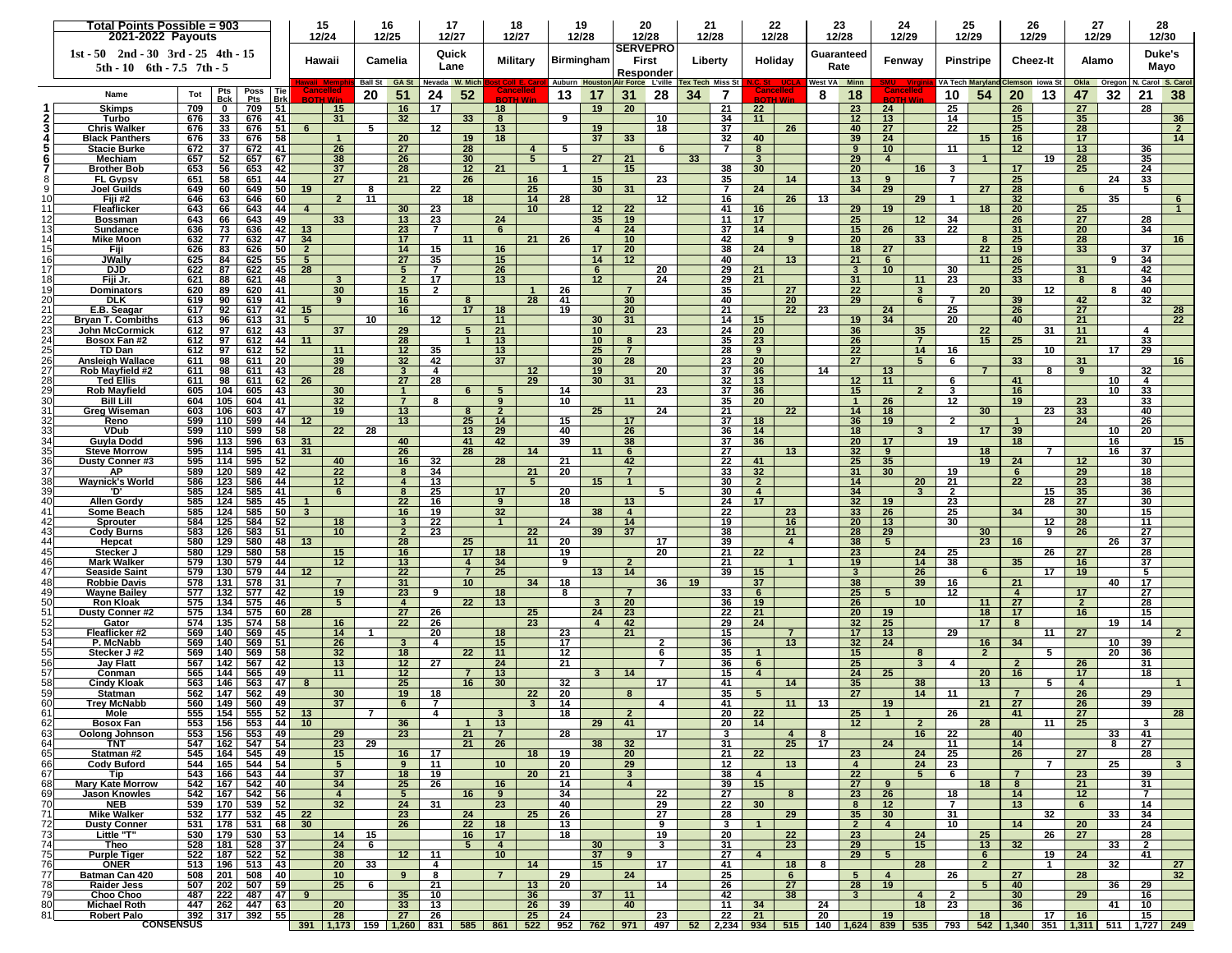| <b>SERVEPRO</b><br>$1st - 50$ $2nd - 30$ $3rd - 25$ $4th - 15$<br>Quick<br>Duke's<br>Guaranteed<br>Hawaii<br>Camelia<br>First<br>Holiday<br><b>Pinstripe</b><br>Alamo<br>Military<br><b>Birmingham</b><br>Liberty<br>Fenway<br><b>Cheez-It</b><br>Lane<br>Rate<br>Mayo<br>$5th - 10$ 6th $-7.5$ 7th $-5$<br>Responder<br>V. Carol S. Carol<br>Ball St GA St Nevada W. Mich<br><b>Auburn Houston</b><br><b>Tex Tech Miss St</b><br>West VA Minn<br>Okla Oregon<br>Air Force L'ville<br>VA Tech Maryland<br>Clemson iowa St<br>Poss   Tie<br><b>Cancelled</b><br>:ancellec<br>Pts<br>ancellec<br>Name<br>20<br>51<br>24<br>52<br>34<br>8<br>18<br>54<br>20<br>32<br>21<br>38<br>Tot<br>13<br>17<br>31<br>28<br>7<br>10<br>13<br>47<br>Bck<br><b>Brk</b><br>Pts<br><b>BOTH Win</b><br><b>SOTH Wir</b><br>709<br>51<br>16<br>17<br>18<br>20<br>21<br>22<br>23<br>24<br>25<br>26<br>27<br>28<br><b>Skimps</b><br>709<br>$\mathbf{0}$<br>15<br>19<br>32<br>33<br>9<br>12<br>36<br>33 <sup>1</sup><br>676<br>41<br>31<br>-34<br>11<br>13<br>15<br>35<br>Turbo<br>676<br>8<br>10<br>14<br>33<br>51<br>5<br>12<br>13<br>37<br>27<br>22<br><b>Chris Walker</b><br>676<br>676<br>6<br>19<br>18<br>26<br>40<br>25<br>28<br>$\mathbf{2}$<br>33<br>58<br>20<br>37<br>33<br>39<br>Black Panthers<br>676<br>676<br>$\overline{1}$<br>19<br>18<br>32<br>40<br>24<br>15<br>16<br>17<br>14<br>37<br>672<br>672<br>41<br>26<br>27<br>28<br>5<br>6<br>$\overline{7}$<br>9<br>10<br>11<br>12 <sup>2</sup><br>13<br>36<br><b>Stacie Burke</b><br>$\overline{4}$<br>8<br>52<br>26<br>5<br>27<br>21<br>33<br>19<br>28<br>35<br>657<br>67<br>38<br>30<br>29<br>Mechiam<br>657<br>$\overline{4}$<br>-3<br>37<br>28<br>21<br>20<br>17<br>25<br>24<br><b>Brother Bob</b><br>653<br>56<br>653<br>42<br>12 <sub>2</sub><br>$\mathbf 1$<br>15<br>38<br>30<br>16<br>3<br>44<br>21<br>35<br>25<br>33<br><b>FL Gypsy</b><br>651<br>58<br>651<br>27<br>26<br>16<br>15<br>23<br>14<br>13<br>9<br>$\overline{7}$<br>24<br>50<br>22<br>29<br>Joel Guilds<br>649<br>60<br>649<br>19<br>25<br>30<br>31<br>7<br>24<br>34<br>27<br>28<br>6<br>5.<br>8<br>13<br>35<br>646<br>63<br>60<br>$\overline{2}$<br>11<br>18<br>14<br>28<br>$12 \,$<br>16<br>26<br>29<br>32 <sub>2</sub><br>Fiji #2<br>646<br>1<br>643<br>643<br>30<br>23<br>10 <sup>1</sup><br>12<br>22<br>41<br>29<br>19<br>18<br>20<br>25<br>Fleaflicker<br>66<br>44<br>$\overline{4}$<br>16<br>11<br>13<br>25<br>49<br>33 <sup>3</sup><br>23<br>24<br>35<br>11<br>17<br>12<br>34<br>27<br>28<br>643<br>66<br>643<br>19<br>26<br>Bossman<br>26<br>23<br>$6\phantom{.}6$<br>15<br>22<br>Sundance<br>636<br>73<br>636<br>42<br>13<br>$\overline{7}$<br>$\overline{4}$<br>24<br>37<br>14<br>31<br>20<br>34<br>47<br>21<br>26<br>14<br><b>Mike Moon</b><br>632<br>77<br>632<br>34<br>17<br>11<br>10 <sup>1</sup><br>42<br>20<br>33 <sup>3</sup><br>25<br>28<br>16<br>9<br>8<br>83<br>50<br>38<br>18<br>27<br>626<br>626<br>$\overline{2}$<br>14<br>15<br>17<br>20<br>24<br>22<br>19<br>37<br>Fiji<br>16<br>33<br>JWallv<br>625<br>84<br>625<br>55<br>27<br>35<br>15<br>14<br>12<br>40<br>13<br>21<br>11<br>26<br>9<br>5<br>6<br>34<br>87<br>45<br>10<br>31<br>17<br><b>DJD</b><br>622<br>622<br>28<br>5<br>$\overline{7}$<br>26<br>6<br>20<br>29<br>21<br>$\mathbf{3}$<br>30<br>25<br>42<br>18<br>88<br>621<br>48<br>$\mathbf{3}$<br>$\overline{2}$<br>17<br>13<br>12 <sub>2</sub><br>24<br>29<br>21<br>31<br>11<br>23<br>33<br>8<br>34<br>Fiji Jr.<br>621<br>30<br>$\overline{22}$<br>20<br>12<br>15<br>$\overline{2}$<br>26<br>27<br>Dominators<br>620<br>89<br>620<br>-41<br>35<br>3<br>8<br>40<br>7<br>28<br>29<br><b>DLK</b><br>619<br>90<br>619<br>41<br>9<br>16<br>41<br>30 <sup>°</sup><br>40<br>20<br>6<br>7<br>39<br>42<br>32<br>8<br>21<br>17<br>19<br>20<br>23<br>25<br>E.B. Seagar<br>42<br>16<br>18<br>21<br>22<br>24<br>26<br>27<br>28<br>617<br>92  <br>617<br>15<br><b>Bryan T. Combiths</b><br>613<br>96<br>613<br>31<br>$5^{\circ}$<br>10<br>$12 \,$<br>30<br>31<br>14<br>19<br>34<br>20<br>40<br>21<br>22<br>11<br>15<br>97<br>29<br>22<br>John McCormick<br>612<br>612<br>43<br>37<br>5<br>21<br>10 <sup>1</sup><br>23<br>24<br>20<br>36<br>35<br>31<br>11<br>4<br>24<br>97<br>612<br>44<br>11<br>28<br>$\overline{1}$<br>13<br>8<br>35<br>23<br>26<br>$\overline{7}$<br>15<br>25<br>21<br>33<br>Bosox Fan #2<br>612<br>10 <sup>1</sup><br>97<br>52<br>11<br>12<br>35<br>13<br>28<br>22<br>14<br>17<br>29<br>TD Dan<br>612<br>612<br>25<br>$\overline{7}$<br>9<br>16<br>10<br>32<br>42<br>37<br>27<br>33<br>Ansleigh Wallace<br>611<br>98<br>611<br>20<br>39<br>30<br>28<br>23<br>20<br>5<br>6<br>31<br>16<br>27<br>32<br>98<br>43<br>28<br>4<br>19<br>37<br>36<br>14<br>9<br>Rob Mayfield #2<br>611<br>611<br>12 <sup>2</sup><br>20<br>13<br>8<br>3<br>62<br>27<br>28<br>29<br>30<br>31<br>12 <sub>2</sub><br>11<br>Ted Ellis<br>611<br>98<br>611<br>-26<br>32<br>13<br>6<br>41<br>10<br>4<br>23<br>37<br>15<br>33<br><b>Rob Mayfield</b><br>605<br>104<br>605<br>43<br>30<br>$\overline{1}$<br>6<br>5<br>14<br>36<br>$\overline{2}$<br>3<br>16<br>10<br>10<br>30<br>Bill Lill<br>604<br>105<br>604<br>41<br>32<br>$\overline{7}$<br>8<br>9<br>11<br>35<br>20<br>$\overline{1}$<br>26<br>12<br>19<br>23<br>33<br>19<br>13<br>25<br>24<br>22<br>23<br>33<br>47<br>$\overline{2}$<br>21<br>14<br>18<br>30<br>40<br>31<br>Greg Wiseman<br>603<br>106<br>603<br>13<br>25<br>14<br>36<br>26<br>Reno<br>599<br>110<br>599<br>44<br>12<br>15<br>17<br>37<br>18<br>19<br>$\mathbf{2}$<br>24<br>58<br>28<br>29<br>40<br>26<br>18<br>39<br>20<br>VDub<br>599<br>22<br>13<br>36<br>14<br>10<br>599<br>110<br>17<br>3<br>34<br>Guyla Dodd<br>31<br>40<br>42<br>15 <sub>1</sub><br>596<br>113<br>596<br>63<br>41<br>39<br>38<br>37<br>36<br>20<br>17<br>19<br>18<br>16<br><b>Steve Morrow</b><br>595<br>41<br>31<br>26<br>28<br>14<br>11<br>27<br>13<br>32 <sub>2</sub><br>18<br>16<br>37<br>114<br>595<br>6<br>9<br>7<br>114<br>595<br>52<br>16<br>32<br>28<br>21<br>42<br>22<br>25<br>35<br>19<br>24<br><b>Dusty Conner#3</b><br>595<br>40<br>41<br>12<br>30<br>22<br>34<br>37<br>589<br>120<br>589<br>42<br>20<br>$\overline{7}$<br>33<br>32<br>31<br>30 <sup>°</sup><br>29<br>18<br>АP<br>8<br><u>21</u><br>19<br>6<br>22<br>13<br>5 <sup>5</sup><br>23<br>Waynick's World<br>586<br>123<br>586<br>44<br>$12 \overline{ }$<br>15 <sub>1</sub><br>$\overline{1}$<br>30<br>$\overline{2}$<br>14<br>20<br>21<br>38<br>$\overline{4}$<br>25<br>35<br>585<br>124<br>585<br>41<br>8<br>17<br>20<br>30<br>$\overline{4}$<br>34<br>3<br>$\overline{2}$<br>15<br>36<br>D<br>6<br>5<br>40<br><b>Allen Gordy</b><br>124<br>585<br>22<br>17<br>32 <sub>2</sub><br>28<br>27<br>585<br>45<br>16<br>18<br>24<br>23<br>30<br>9<br>13<br>19<br>34<br>Some Beach<br>585<br>124<br>585<br>50<br>16<br>19<br>32 <sub>2</sub><br>38<br>22<br>23<br>33<br>26<br>25<br>30 <sup>°</sup><br>15<br>-3<br>$\overline{4}$<br>125<br>52<br>20<br>13<br>28<br>Sprouter<br>584<br>584<br>18<br>$\mathbf{3}$<br>22<br>$\mathbf{1}$<br>24<br>14<br>19<br>16<br>30<br>12<br>11<br>10<br>23<br>38<br>21<br>29<br>9<br>27<br>43 <sub>l</sub><br>583<br>126<br>583<br>51<br>$\overline{2}$<br>22<br>39<br>37<br>28<br>30<br>26<br><b>Cody Burns</b><br>11<br>20<br>23<br>28<br>25<br>17<br>38<br>16<br>26<br>44<br>580<br>129<br>580<br>48<br>13<br>39<br>$5^{\circ}$<br>37<br>Hepcat<br>$\mathbf{A}$<br>22<br>25<br>26<br>Stecker J<br>580<br>129<br>580<br>58<br>15<br>16<br>17<br>18<br>19<br>20<br>21<br>23<br>24<br>27<br>28<br>34<br>19<br><b>Mark Walker</b><br>44<br>12<br>13<br>9<br>$\overline{2}$<br>21<br>14<br>38<br>35<br>16<br>37<br>579<br>130<br>579<br>$\overline{4}$<br>47<br>Seaside Saint<br>579<br>130<br>579<br>44<br>12<br>22<br>$\overline{7}$<br>25<br>14<br>39<br>$3^{\circ}$<br>26<br>17<br>19<br>5<br>13<br>15<br>6<br><b>Robbie Davis</b><br>578<br>131<br>578<br>31<br>$\overline{7}$<br>31<br>10<br>34<br>18<br>36<br>19<br>37<br>38<br>39<br>16<br>21<br>40<br>17<br>132<br>577<br>42<br>19<br>23<br>9<br>18<br>8<br>$\overline{7}$<br>33<br>25<br>5 <sup>5</sup><br>17<br>27<br>Wayne Bailey<br>577<br>6<br>12<br>4<br>22<br>26<br>27<br>28<br>50<br>134<br>46<br>13<br>36<br>10 <sup>1</sup><br>11<br>$\overline{2}$<br><b>Ron Kloak</b><br>575<br>575<br>5<br>4<br>$\mathbf{3}$<br>20<br>19<br>27<br>25<br>22<br>15<br><b>Dusty Conner #2</b><br>575<br>134<br>575<br>60<br>28<br>26<br>24<br>23<br>21<br>20<br>19<br>18<br>17<br>16<br>25<br>135<br>574<br>58<br>22<br>23<br>42<br>29<br>24<br>32 <sub>2</sub><br>17<br>19<br>14<br>Gator<br>574  <br>16<br>26<br>$\overline{4}$<br>8<br>53<br>23<br>21<br>17 <sub>2</sub><br>13<br>29<br>27<br>Fleaflicker #2<br>569<br>140  <br>569<br>45<br>14<br>20<br>18<br>15<br>11<br>-1<br>140<br>17<br>36<br>24<br>39<br>P. McNabb<br>569<br>569<br>-51<br>26<br>$\mathbf{3}$<br>4<br>15<br>$\mathbf{2}$<br>13<br>32<br>16<br>34<br>10<br>20<br>140<br>569<br>58<br>32<br>18<br>22<br>11<br>12<br>35<br>15<br>$\overline{2}$<br>5<br>36<br>Stecker J#2<br>569<br>6<br>8<br>13<br>12<br>24<br>21<br>25<br>$\overline{2}$<br>56<br>42<br>27<br>$\overline{7}$<br>36<br>$\mathbf{3}$<br>31<br>Jay Flatt<br>567<br>142<br>567<br>6<br>4<br>26<br>565<br>49<br>12<br>13<br>15<br>24<br>25<br>20<br>Conman<br>565<br>144<br>11<br>3<br>14<br>$\overline{\mathbf{4}}$<br>16<br>17<br>18<br>25<br>32<br>146<br>563<br>47<br>16<br>30 <sup>°</sup><br>41<br>35<br>38<br>13<br><b>Cindy Kloak</b><br>8<br>17<br>14<br>5<br>563<br>4<br>19<br>35<br>27<br>29<br>Statman<br>562<br>147  <br>562<br>49<br>30<br>18<br>22<br>20<br>8<br>14<br>11<br>26<br>5<br>7<br>21<br>60<br><b>Trey McNabb</b><br>560<br>149<br>560<br>49<br>37<br>$\mathbf{3}$<br>14<br>41<br>11<br>13<br>19<br>27<br>39<br>6<br>7<br>4<br>26<br>$555$ 154<br>52<br>555<br>18<br>20<br>22<br>25<br>26<br>27<br>Mole<br>41<br>553 156 553 44<br>36<br>12<br>3<br>13<br>29<br>41<br>14<br>28<br>11<br>25<br>Bosox Fan<br>10 <sup>1</sup><br>20<br>2<br>28<br>63<br>23<br>553 156 553 49<br>29<br>21<br>$\overline{7}$<br>17<br>16<br>22<br>40<br>33<br>41<br>Oolong Johnson<br>-3<br>$\overline{4}$<br>8<br>547   162   547   54<br>29<br>21<br>32<br>31<br>25<br>17<br>24<br>14<br>TNT<br>23<br>26<br>38<br>8<br>27<br>11<br>545 164 545 49<br>22<br>27<br>15<br>16<br>17<br>18<br>19<br>23<br>24<br>25<br>26<br>28<br>Statman #2<br>-20<br>21<br>10<br>66<br>544 165 544 54<br>5<br>9<br>11<br>20<br>29<br>12<br>13<br>$\overline{4}$<br>24<br>23<br>$\overline{7}$<br>25<br>3 <sup>1</sup><br>Cody Buford<br>543   166   543   44<br>37<br>22<br>18<br>19<br>20 <sub>2</sub><br>21<br>$\mathbf{3}$<br>38<br>5 <sub>5</sub><br>6<br>$\overline{7}$<br>23<br>39<br>Tip<br>$\overline{4}$<br>542 167 542 40<br>25<br>16<br>15<br>18<br>34<br>26<br>14<br>39<br>27<br>8<br>21<br>31<br>$\overline{4}$<br>9<br><b>Mary Kate Morrow</b><br>542   167   542   56<br>16<br>22<br>23<br>26<br>69<br>$\overline{4}$<br>$5^{\circ}$<br>9<br>34<br>27<br>8<br>18<br>14<br>12<br>$\overline{7}$<br><b>Jason Knowles</b><br>24<br>31<br><b>NEB</b><br>539   170   539   52<br>32<br>23<br>40<br>29<br>22<br>30<br>8<br>12<br>$\overline{7}$<br>13<br>6<br>14<br>22<br>32<br>34<br>$532$   177   532   45  <br>23<br>24<br>25<br>26<br>27<br>28<br>29<br>35<br>30 <sub>o</sub><br>31<br>33<br>Mike Walker<br><b>Dusty Conner</b><br>531 178 531 68<br>30<br>26<br>22<br>18<br>13<br>$\overline{2}$<br>$\overline{4}$<br>14<br>20<br>24<br>9<br>3<br>$\mathbf{1}$<br>10<br>73<br>23<br>25<br>Little "T"<br>530   179   530   53<br>14<br>15<br>16<br>17<br>18<br>19<br>20<br>22<br>24<br>26<br>27<br>28<br>528   181   528   37<br>24<br>5 <sub>5</sub><br>$\overline{4}$<br>30<br>$\mathbf{3}$<br>31<br>23<br>29<br>15<br>13<br>32<br>33<br>$\overline{2}$<br>6<br>Theo<br>12<br>24<br>522 187 522 52<br>38<br>10<br>29<br>5 <sub>5</sub><br>41<br><b>Purple Tiger</b><br>11<br>37<br>9<br>27<br>6<br>19<br>$\overline{4}$<br>76<br>33<br>28<br>27<br>ONER<br>513   196   513   43<br>20<br>4<br>14<br>15<br>17<br>41<br>18<br>8<br>$\overline{2}$<br>$\overline{1}$<br>32<br>32<br>508 201 508 40<br>10 <sup>°</sup><br>9<br>8<br>24<br>25<br>26<br>27<br>28<br>Batman Can 420<br>29<br>6<br>5<br>4<br>19<br><b>Raider Jess</b><br>507   202   507   59<br>25<br>6<br>21<br>13<br>20<br>14<br>26<br>27<br>28<br>$5^{\circ}$<br>40<br>36<br>29<br>79<br>487   222   487   47  <br>35<br>37<br>Choo Choo<br>9<br>10<br>36<br>11<br>42<br>38<br>3 <sup>1</sup><br>$\overline{4}$<br>$\overline{2}$<br>30<br>29<br>16<br>447 262 447 63<br>20<br>33<br>13<br>26<br>39<br>40<br>11<br>34<br>24<br>18<br>23<br>36<br>41<br>10 <sup>°</sup><br><b>Michael Roth</b><br>21<br>392 317 392 55<br>28<br>27<br>25<br>24<br>23<br>19<br>18<br>15<br>26<br>22<br>20<br>17<br>16<br>Robert Palo<br><b>CONSENSUS</b><br><u>391 1,173 159 1,260 831 585 861 522 952 762 971 497 52 2,234 934 515 140 1,624 839 535 793 542 1,340 351 1,311 511 1,727 249</u> |                 | Total Points Possible = 903<br>2021-2022 Payouts |  |  |  | 15<br>12/24 |  | 16<br>12/25 |  | 17<br>12/27 |  | 18<br>12/27 |  | 19<br>12/28 |  | 20<br>12/28 |  | 21<br>12/28 |  | 22<br>12/28 |  | 23<br>12/28 |  | 24<br>12/29 |  | 25<br>12/29 |  | 26<br>12/29 | 27<br>12/29 |  | 28<br>12/30 |  |  |  |  |  |
|-------------------------------------------------------------------------------------------------------------------------------------------------------------------------------------------------------------------------------------------------------------------------------------------------------------------------------------------------------------------------------------------------------------------------------------------------------------------------------------------------------------------------------------------------------------------------------------------------------------------------------------------------------------------------------------------------------------------------------------------------------------------------------------------------------------------------------------------------------------------------------------------------------------------------------------------------------------------------------------------------------------------------------------------------------------------------------------------------------------------------------------------------------------------------------------------------------------------------------------------------------------------------------------------------------------------------------------------------------------------------------------------------------------------------------------------------------------------------------------------------------------------------------------------------------------------------------------------------------------------------------------------------------------------------------------------------------------------------------------------------------------------------------------------------------------------------------------------------------------------------------------------------------------------------------------------------------------------------------------------------------------------------------------------------------------------------------------------------------------------------------------------------------------------------------------------------------------------------------------------------------------------------------------------------------------------------------------------------------------------------------------------------------------------------------------------------------------------------------------------------------------------------------------------------------------------------------------------------------------------------------------------------------------------------------------------------------------------------------------------------------------------------------------------------------------------------------------------------------------------------------------------------------------------------------------------------------------------------------------------------------------------------------------------------------------------------------------------------------------------------------------------------------------------------------------------------------------------------------------------------------------------------------------------------------------------------------------------------------------------------------------------------------------------------------------------------------------------------------------------------------------------------------------------------------------------------------------------------------------------------------------------------------------------------------------------------------------------------------------------------------------------------------------------------------------------------------------------------------------------------------------------------------------------------------------------------------------------------------------------------------------------------------------------------------------------------------------------------------------------------------------------------------------------------------------------------------------------------------------------------------------------------------------------------------------------------------------------------------------------------------------------------------------------------------------------------------------------------------------------------------------------------------------------------------------------------------------------------------------------------------------------------------------------------------------------------------------------------------------------------------------------------------------------------------------------------------------------------------------------------------------------------------------------------------------------------------------------------------------------------------------------------------------------------------------------------------------------------------------------------------------------------------------------------------------------------------------------------------------------------------------------------------------------------------------------------------------------------------------------------------------------------------------------------------------------------------------------------------------------------------------------------------------------------------------------------------------------------------------------------------------------------------------------------------------------------------------------------------------------------------------------------------------------------------------------------------------------------------------------------------------------------------------------------------------------------------------------------------------------------------------------------------------------------------------------------------------------------------------------------------------------------------------------------------------------------------------------------------------------------------------------------------------------------------------------------------------------------------------------------------------------------------------------------------------------------------------------------------------------------------------------------------------------------------------------------------------------------------------------------------------------------------------------------------------------------------------------------------------------------------------------------------------------------------------------------------------------------------------------------------------------------------------------------------------------------------------------------------------------------------------------------------------------------------------------------------------------------------------------------------------------------------------------------------------------------------------------------------------------------------------------------------------------------------------------------------------------------------------------------------------------------------------------------------------------------------------------------------------------------------------------------------------------------------------------------------------------------------------------------------------------------------------------------------------------------------------------------------------------------------------------------------------------------------------------------------------------------------------------------------------------------------------------------------------------------------------------------------------------------------------------------------------------------------------------------------------------------------------------------------------------------------------------------------------------------------------------------------------------------------------------------------------------------------------------------------------------------------------------------------------------------------------------------------------------------------------------------------------------------------------------------------------------------------------------------------------------------------------------------------------------------------------------------------------------------------------------------------------------------------------------------------------------------------------------------------------------------------------------------------------------------------------------------------------------------------------------------------------------------------------------------------------------------------------------------------------------------------------------------------------------------------------------------------------------------------------------------------------------------------------------------------------------------------------------------------------------------------------------------------------------------------------------------------------------------------------------------------------------------------------------------------------------------------------------------------------------------------------------------------------------------------------------------------------------------------------------------------------------------------------------------------------------------------------------------------------------------------------------------------------------------------------------------------------------------------------------------------------------------------------------------------------------------------------------------------------------------------------------------------------------------------------------------------------------------------------------------------------------------------------------------------------------------------------------------------------------------------------------------------------------------------------------------------------------------------------------------------------------------------------------------------------------------------------------------------------------------------------------------------------------------------------------------------------------------------------------------------------------------------------------------------------------------------------------------------------------------------------------------------------------------------------------------------------------------------------------------------------------------------------------------------------------------------------------------------------------------------------------------------------------------------------------------------------------------------------------------------------------------------------------------------------------------------------------------------------------------------------------------------------------------------------------------------------------------------------------------------------------------------------------------------------------------------------------------------------------------------------------------------------------------------------------------------------------------------------------------------------------------------------------------------------------------------------------------------------------------------------------------------------------------------------------------------------------------------------------------------------------------------------------------------------------------------------------------------------------------------------------------------------------------------------------------------------------------------------------------------------------------------------------------------------------------------------------------------------------------------------------------------------------------------------------------------------------------------------------------------------------------------------------------------------------------------------------------------------------------------------------------------------------------------------------------------------------------------------------------------------------------------------------------------------------------------------------------------------------------------------------------------------------------------------------------------------------------------|-----------------|--------------------------------------------------|--|--|--|-------------|--|-------------|--|-------------|--|-------------|--|-------------|--|-------------|--|-------------|--|-------------|--|-------------|--|-------------|--|-------------|--|-------------|-------------|--|-------------|--|--|--|--|--|
|                                                                                                                                                                                                                                                                                                                                                                                                                                                                                                                                                                                                                                                                                                                                                                                                                                                                                                                                                                                                                                                                                                                                                                                                                                                                                                                                                                                                                                                                                                                                                                                                                                                                                                                                                                                                                                                                                                                                                                                                                                                                                                                                                                                                                                                                                                                                                                                                                                                                                                                                                                                                                                                                                                                                                                                                                                                                                                                                                                                                                                                                                                                                                                                                                                                                                                                                                                                                                                                                                                                                                                                                                                                                                                                                                                                                                                                                                                                                                                                                                                                                                                                                                                                                                                                                                                                                                                                                                                                                                                                                                                                                                                                                                                                                                                                                                                                                                                                                                                                                                                                                                                                                                                                                                                                                                                                                                                                                                                                                                                                                                                                                                                                                                                                                                                                                                                                                                                                                                                                                                                                                                                                                                                                                                                                                                                                                                                                                                                                                                                                                                                                                                                                                                                                                                                                                                                                                                                                                                                                                                                                                                                                                                                                                                                                                                                                                                                                                                                                                                                                                                                                                                                                                                                                                                                                                                                                                                                                                                                                                                                                                                                                                                                                                                                                                                                                                                                                                                                                                                                                                                                                                                                                                                                                                                                                                                                                                                                                                                                                                                                                                                                                                                                                                                                                                                                                                                                                                                                                                                                                                                                                                                                                                                                                                                                                                                                                                                                                                                                                                                                                                                                                                                                                                                                                                                                                                                                                                                                                                                                                                                                                                                                                                                                                                                                                                                                                                                                                                                                                                                                                                                                                                                                                                                                                                                                                                                                                                                                                                                                                                                                                                                                                                                                                                                                                                                                                                                                                                                                                                                                                                                                                                                                                                                                                                                                                                                                                                                                                                                                                                                                                                                                                                                                                                                                                                                                                                                                                                                       |                 |                                                  |  |  |  |             |  |             |  |             |  |             |  |             |  |             |  |             |  |             |  |             |  |             |  |             |  |             |             |  |             |  |  |  |  |  |
|                                                                                                                                                                                                                                                                                                                                                                                                                                                                                                                                                                                                                                                                                                                                                                                                                                                                                                                                                                                                                                                                                                                                                                                                                                                                                                                                                                                                                                                                                                                                                                                                                                                                                                                                                                                                                                                                                                                                                                                                                                                                                                                                                                                                                                                                                                                                                                                                                                                                                                                                                                                                                                                                                                                                                                                                                                                                                                                                                                                                                                                                                                                                                                                                                                                                                                                                                                                                                                                                                                                                                                                                                                                                                                                                                                                                                                                                                                                                                                                                                                                                                                                                                                                                                                                                                                                                                                                                                                                                                                                                                                                                                                                                                                                                                                                                                                                                                                                                                                                                                                                                                                                                                                                                                                                                                                                                                                                                                                                                                                                                                                                                                                                                                                                                                                                                                                                                                                                                                                                                                                                                                                                                                                                                                                                                                                                                                                                                                                                                                                                                                                                                                                                                                                                                                                                                                                                                                                                                                                                                                                                                                                                                                                                                                                                                                                                                                                                                                                                                                                                                                                                                                                                                                                                                                                                                                                                                                                                                                                                                                                                                                                                                                                                                                                                                                                                                                                                                                                                                                                                                                                                                                                                                                                                                                                                                                                                                                                                                                                                                                                                                                                                                                                                                                                                                                                                                                                                                                                                                                                                                                                                                                                                                                                                                                                                                                                                                                                                                                                                                                                                                                                                                                                                                                                                                                                                                                                                                                                                                                                                                                                                                                                                                                                                                                                                                                                                                                                                                                                                                                                                                                                                                                                                                                                                                                                                                                                                                                                                                                                                                                                                                                                                                                                                                                                                                                                                                                                                                                                                                                                                                                                                                                                                                                                                                                                                                                                                                                                                                                                                                                                                                                                                                                                                                                                                                                                                                                                                                                       |                 |                                                  |  |  |  |             |  |             |  |             |  |             |  |             |  |             |  |             |  |             |  |             |  |             |  |             |  |             |             |  |             |  |  |  |  |  |
|                                                                                                                                                                                                                                                                                                                                                                                                                                                                                                                                                                                                                                                                                                                                                                                                                                                                                                                                                                                                                                                                                                                                                                                                                                                                                                                                                                                                                                                                                                                                                                                                                                                                                                                                                                                                                                                                                                                                                                                                                                                                                                                                                                                                                                                                                                                                                                                                                                                                                                                                                                                                                                                                                                                                                                                                                                                                                                                                                                                                                                                                                                                                                                                                                                                                                                                                                                                                                                                                                                                                                                                                                                                                                                                                                                                                                                                                                                                                                                                                                                                                                                                                                                                                                                                                                                                                                                                                                                                                                                                                                                                                                                                                                                                                                                                                                                                                                                                                                                                                                                                                                                                                                                                                                                                                                                                                                                                                                                                                                                                                                                                                                                                                                                                                                                                                                                                                                                                                                                                                                                                                                                                                                                                                                                                                                                                                                                                                                                                                                                                                                                                                                                                                                                                                                                                                                                                                                                                                                                                                                                                                                                                                                                                                                                                                                                                                                                                                                                                                                                                                                                                                                                                                                                                                                                                                                                                                                                                                                                                                                                                                                                                                                                                                                                                                                                                                                                                                                                                                                                                                                                                                                                                                                                                                                                                                                                                                                                                                                                                                                                                                                                                                                                                                                                                                                                                                                                                                                                                                                                                                                                                                                                                                                                                                                                                                                                                                                                                                                                                                                                                                                                                                                                                                                                                                                                                                                                                                                                                                                                                                                                                                                                                                                                                                                                                                                                                                                                                                                                                                                                                                                                                                                                                                                                                                                                                                                                                                                                                                                                                                                                                                                                                                                                                                                                                                                                                                                                                                                                                                                                                                                                                                                                                                                                                                                                                                                                                                                                                                                                                                                                                                                                                                                                                                                                                                                                                                                                                                                       |                 |                                                  |  |  |  |             |  |             |  |             |  |             |  |             |  |             |  |             |  |             |  |             |  |             |  |             |  |             |             |  |             |  |  |  |  |  |
|                                                                                                                                                                                                                                                                                                                                                                                                                                                                                                                                                                                                                                                                                                                                                                                                                                                                                                                                                                                                                                                                                                                                                                                                                                                                                                                                                                                                                                                                                                                                                                                                                                                                                                                                                                                                                                                                                                                                                                                                                                                                                                                                                                                                                                                                                                                                                                                                                                                                                                                                                                                                                                                                                                                                                                                                                                                                                                                                                                                                                                                                                                                                                                                                                                                                                                                                                                                                                                                                                                                                                                                                                                                                                                                                                                                                                                                                                                                                                                                                                                                                                                                                                                                                                                                                                                                                                                                                                                                                                                                                                                                                                                                                                                                                                                                                                                                                                                                                                                                                                                                                                                                                                                                                                                                                                                                                                                                                                                                                                                                                                                                                                                                                                                                                                                                                                                                                                                                                                                                                                                                                                                                                                                                                                                                                                                                                                                                                                                                                                                                                                                                                                                                                                                                                                                                                                                                                                                                                                                                                                                                                                                                                                                                                                                                                                                                                                                                                                                                                                                                                                                                                                                                                                                                                                                                                                                                                                                                                                                                                                                                                                                                                                                                                                                                                                                                                                                                                                                                                                                                                                                                                                                                                                                                                                                                                                                                                                                                                                                                                                                                                                                                                                                                                                                                                                                                                                                                                                                                                                                                                                                                                                                                                                                                                                                                                                                                                                                                                                                                                                                                                                                                                                                                                                                                                                                                                                                                                                                                                                                                                                                                                                                                                                                                                                                                                                                                                                                                                                                                                                                                                                                                                                                                                                                                                                                                                                                                                                                                                                                                                                                                                                                                                                                                                                                                                                                                                                                                                                                                                                                                                                                                                                                                                                                                                                                                                                                                                                                                                                                                                                                                                                                                                                                                                                                                                                                                                                                                                                       |                 |                                                  |  |  |  |             |  |             |  |             |  |             |  |             |  |             |  |             |  |             |  |             |  |             |  |             |  |             |             |  |             |  |  |  |  |  |
|                                                                                                                                                                                                                                                                                                                                                                                                                                                                                                                                                                                                                                                                                                                                                                                                                                                                                                                                                                                                                                                                                                                                                                                                                                                                                                                                                                                                                                                                                                                                                                                                                                                                                                                                                                                                                                                                                                                                                                                                                                                                                                                                                                                                                                                                                                                                                                                                                                                                                                                                                                                                                                                                                                                                                                                                                                                                                                                                                                                                                                                                                                                                                                                                                                                                                                                                                                                                                                                                                                                                                                                                                                                                                                                                                                                                                                                                                                                                                                                                                                                                                                                                                                                                                                                                                                                                                                                                                                                                                                                                                                                                                                                                                                                                                                                                                                                                                                                                                                                                                                                                                                                                                                                                                                                                                                                                                                                                                                                                                                                                                                                                                                                                                                                                                                                                                                                                                                                                                                                                                                                                                                                                                                                                                                                                                                                                                                                                                                                                                                                                                                                                                                                                                                                                                                                                                                                                                                                                                                                                                                                                                                                                                                                                                                                                                                                                                                                                                                                                                                                                                                                                                                                                                                                                                                                                                                                                                                                                                                                                                                                                                                                                                                                                                                                                                                                                                                                                                                                                                                                                                                                                                                                                                                                                                                                                                                                                                                                                                                                                                                                                                                                                                                                                                                                                                                                                                                                                                                                                                                                                                                                                                                                                                                                                                                                                                                                                                                                                                                                                                                                                                                                                                                                                                                                                                                                                                                                                                                                                                                                                                                                                                                                                                                                                                                                                                                                                                                                                                                                                                                                                                                                                                                                                                                                                                                                                                                                                                                                                                                                                                                                                                                                                                                                                                                                                                                                                                                                                                                                                                                                                                                                                                                                                                                                                                                                                                                                                                                                                                                                                                                                                                                                                                                                                                                                                                                                                                                                                                       |                 |                                                  |  |  |  |             |  |             |  |             |  |             |  |             |  |             |  |             |  |             |  |             |  |             |  |             |  |             |             |  |             |  |  |  |  |  |
|                                                                                                                                                                                                                                                                                                                                                                                                                                                                                                                                                                                                                                                                                                                                                                                                                                                                                                                                                                                                                                                                                                                                                                                                                                                                                                                                                                                                                                                                                                                                                                                                                                                                                                                                                                                                                                                                                                                                                                                                                                                                                                                                                                                                                                                                                                                                                                                                                                                                                                                                                                                                                                                                                                                                                                                                                                                                                                                                                                                                                                                                                                                                                                                                                                                                                                                                                                                                                                                                                                                                                                                                                                                                                                                                                                                                                                                                                                                                                                                                                                                                                                                                                                                                                                                                                                                                                                                                                                                                                                                                                                                                                                                                                                                                                                                                                                                                                                                                                                                                                                                                                                                                                                                                                                                                                                                                                                                                                                                                                                                                                                                                                                                                                                                                                                                                                                                                                                                                                                                                                                                                                                                                                                                                                                                                                                                                                                                                                                                                                                                                                                                                                                                                                                                                                                                                                                                                                                                                                                                                                                                                                                                                                                                                                                                                                                                                                                                                                                                                                                                                                                                                                                                                                                                                                                                                                                                                                                                                                                                                                                                                                                                                                                                                                                                                                                                                                                                                                                                                                                                                                                                                                                                                                                                                                                                                                                                                                                                                                                                                                                                                                                                                                                                                                                                                                                                                                                                                                                                                                                                                                                                                                                                                                                                                                                                                                                                                                                                                                                                                                                                                                                                                                                                                                                                                                                                                                                                                                                                                                                                                                                                                                                                                                                                                                                                                                                                                                                                                                                                                                                                                                                                                                                                                                                                                                                                                                                                                                                                                                                                                                                                                                                                                                                                                                                                                                                                                                                                                                                                                                                                                                                                                                                                                                                                                                                                                                                                                                                                                                                                                                                                                                                                                                                                                                                                                                                                                                                                                                       |                 |                                                  |  |  |  |             |  |             |  |             |  |             |  |             |  |             |  |             |  |             |  |             |  |             |  |             |  |             |             |  |             |  |  |  |  |  |
|                                                                                                                                                                                                                                                                                                                                                                                                                                                                                                                                                                                                                                                                                                                                                                                                                                                                                                                                                                                                                                                                                                                                                                                                                                                                                                                                                                                                                                                                                                                                                                                                                                                                                                                                                                                                                                                                                                                                                                                                                                                                                                                                                                                                                                                                                                                                                                                                                                                                                                                                                                                                                                                                                                                                                                                                                                                                                                                                                                                                                                                                                                                                                                                                                                                                                                                                                                                                                                                                                                                                                                                                                                                                                                                                                                                                                                                                                                                                                                                                                                                                                                                                                                                                                                                                                                                                                                                                                                                                                                                                                                                                                                                                                                                                                                                                                                                                                                                                                                                                                                                                                                                                                                                                                                                                                                                                                                                                                                                                                                                                                                                                                                                                                                                                                                                                                                                                                                                                                                                                                                                                                                                                                                                                                                                                                                                                                                                                                                                                                                                                                                                                                                                                                                                                                                                                                                                                                                                                                                                                                                                                                                                                                                                                                                                                                                                                                                                                                                                                                                                                                                                                                                                                                                                                                                                                                                                                                                                                                                                                                                                                                                                                                                                                                                                                                                                                                                                                                                                                                                                                                                                                                                                                                                                                                                                                                                                                                                                                                                                                                                                                                                                                                                                                                                                                                                                                                                                                                                                                                                                                                                                                                                                                                                                                                                                                                                                                                                                                                                                                                                                                                                                                                                                                                                                                                                                                                                                                                                                                                                                                                                                                                                                                                                                                                                                                                                                                                                                                                                                                                                                                                                                                                                                                                                                                                                                                                                                                                                                                                                                                                                                                                                                                                                                                                                                                                                                                                                                                                                                                                                                                                                                                                                                                                                                                                                                                                                                                                                                                                                                                                                                                                                                                                                                                                                                                                                                                                                                                                       |                 |                                                  |  |  |  |             |  |             |  |             |  |             |  |             |  |             |  |             |  |             |  |             |  |             |  |             |  |             |             |  |             |  |  |  |  |  |
|                                                                                                                                                                                                                                                                                                                                                                                                                                                                                                                                                                                                                                                                                                                                                                                                                                                                                                                                                                                                                                                                                                                                                                                                                                                                                                                                                                                                                                                                                                                                                                                                                                                                                                                                                                                                                                                                                                                                                                                                                                                                                                                                                                                                                                                                                                                                                                                                                                                                                                                                                                                                                                                                                                                                                                                                                                                                                                                                                                                                                                                                                                                                                                                                                                                                                                                                                                                                                                                                                                                                                                                                                                                                                                                                                                                                                                                                                                                                                                                                                                                                                                                                                                                                                                                                                                                                                                                                                                                                                                                                                                                                                                                                                                                                                                                                                                                                                                                                                                                                                                                                                                                                                                                                                                                                                                                                                                                                                                                                                                                                                                                                                                                                                                                                                                                                                                                                                                                                                                                                                                                                                                                                                                                                                                                                                                                                                                                                                                                                                                                                                                                                                                                                                                                                                                                                                                                                                                                                                                                                                                                                                                                                                                                                                                                                                                                                                                                                                                                                                                                                                                                                                                                                                                                                                                                                                                                                                                                                                                                                                                                                                                                                                                                                                                                                                                                                                                                                                                                                                                                                                                                                                                                                                                                                                                                                                                                                                                                                                                                                                                                                                                                                                                                                                                                                                                                                                                                                                                                                                                                                                                                                                                                                                                                                                                                                                                                                                                                                                                                                                                                                                                                                                                                                                                                                                                                                                                                                                                                                                                                                                                                                                                                                                                                                                                                                                                                                                                                                                                                                                                                                                                                                                                                                                                                                                                                                                                                                                                                                                                                                                                                                                                                                                                                                                                                                                                                                                                                                                                                                                                                                                                                                                                                                                                                                                                                                                                                                                                                                                                                                                                                                                                                                                                                                                                                                                                                                                                                                                       |                 |                                                  |  |  |  |             |  |             |  |             |  |             |  |             |  |             |  |             |  |             |  |             |  |             |  |             |  |             |             |  |             |  |  |  |  |  |
|                                                                                                                                                                                                                                                                                                                                                                                                                                                                                                                                                                                                                                                                                                                                                                                                                                                                                                                                                                                                                                                                                                                                                                                                                                                                                                                                                                                                                                                                                                                                                                                                                                                                                                                                                                                                                                                                                                                                                                                                                                                                                                                                                                                                                                                                                                                                                                                                                                                                                                                                                                                                                                                                                                                                                                                                                                                                                                                                                                                                                                                                                                                                                                                                                                                                                                                                                                                                                                                                                                                                                                                                                                                                                                                                                                                                                                                                                                                                                                                                                                                                                                                                                                                                                                                                                                                                                                                                                                                                                                                                                                                                                                                                                                                                                                                                                                                                                                                                                                                                                                                                                                                                                                                                                                                                                                                                                                                                                                                                                                                                                                                                                                                                                                                                                                                                                                                                                                                                                                                                                                                                                                                                                                                                                                                                                                                                                                                                                                                                                                                                                                                                                                                                                                                                                                                                                                                                                                                                                                                                                                                                                                                                                                                                                                                                                                                                                                                                                                                                                                                                                                                                                                                                                                                                                                                                                                                                                                                                                                                                                                                                                                                                                                                                                                                                                                                                                                                                                                                                                                                                                                                                                                                                                                                                                                                                                                                                                                                                                                                                                                                                                                                                                                                                                                                                                                                                                                                                                                                                                                                                                                                                                                                                                                                                                                                                                                                                                                                                                                                                                                                                                                                                                                                                                                                                                                                                                                                                                                                                                                                                                                                                                                                                                                                                                                                                                                                                                                                                                                                                                                                                                                                                                                                                                                                                                                                                                                                                                                                                                                                                                                                                                                                                                                                                                                                                                                                                                                                                                                                                                                                                                                                                                                                                                                                                                                                                                                                                                                                                                                                                                                                                                                                                                                                                                                                                                                                                                                                                                       |                 |                                                  |  |  |  |             |  |             |  |             |  |             |  |             |  |             |  |             |  |             |  |             |  |             |  |             |  |             |             |  |             |  |  |  |  |  |
|                                                                                                                                                                                                                                                                                                                                                                                                                                                                                                                                                                                                                                                                                                                                                                                                                                                                                                                                                                                                                                                                                                                                                                                                                                                                                                                                                                                                                                                                                                                                                                                                                                                                                                                                                                                                                                                                                                                                                                                                                                                                                                                                                                                                                                                                                                                                                                                                                                                                                                                                                                                                                                                                                                                                                                                                                                                                                                                                                                                                                                                                                                                                                                                                                                                                                                                                                                                                                                                                                                                                                                                                                                                                                                                                                                                                                                                                                                                                                                                                                                                                                                                                                                                                                                                                                                                                                                                                                                                                                                                                                                                                                                                                                                                                                                                                                                                                                                                                                                                                                                                                                                                                                                                                                                                                                                                                                                                                                                                                                                                                                                                                                                                                                                                                                                                                                                                                                                                                                                                                                                                                                                                                                                                                                                                                                                                                                                                                                                                                                                                                                                                                                                                                                                                                                                                                                                                                                                                                                                                                                                                                                                                                                                                                                                                                                                                                                                                                                                                                                                                                                                                                                                                                                                                                                                                                                                                                                                                                                                                                                                                                                                                                                                                                                                                                                                                                                                                                                                                                                                                                                                                                                                                                                                                                                                                                                                                                                                                                                                                                                                                                                                                                                                                                                                                                                                                                                                                                                                                                                                                                                                                                                                                                                                                                                                                                                                                                                                                                                                                                                                                                                                                                                                                                                                                                                                                                                                                                                                                                                                                                                                                                                                                                                                                                                                                                                                                                                                                                                                                                                                                                                                                                                                                                                                                                                                                                                                                                                                                                                                                                                                                                                                                                                                                                                                                                                                                                                                                                                                                                                                                                                                                                                                                                                                                                                                                                                                                                                                                                                                                                                                                                                                                                                                                                                                                                                                                                                                                                                       | 10              |                                                  |  |  |  |             |  |             |  |             |  |             |  |             |  |             |  |             |  |             |  |             |  |             |  |             |  |             |             |  |             |  |  |  |  |  |
|                                                                                                                                                                                                                                                                                                                                                                                                                                                                                                                                                                                                                                                                                                                                                                                                                                                                                                                                                                                                                                                                                                                                                                                                                                                                                                                                                                                                                                                                                                                                                                                                                                                                                                                                                                                                                                                                                                                                                                                                                                                                                                                                                                                                                                                                                                                                                                                                                                                                                                                                                                                                                                                                                                                                                                                                                                                                                                                                                                                                                                                                                                                                                                                                                                                                                                                                                                                                                                                                                                                                                                                                                                                                                                                                                                                                                                                                                                                                                                                                                                                                                                                                                                                                                                                                                                                                                                                                                                                                                                                                                                                                                                                                                                                                                                                                                                                                                                                                                                                                                                                                                                                                                                                                                                                                                                                                                                                                                                                                                                                                                                                                                                                                                                                                                                                                                                                                                                                                                                                                                                                                                                                                                                                                                                                                                                                                                                                                                                                                                                                                                                                                                                                                                                                                                                                                                                                                                                                                                                                                                                                                                                                                                                                                                                                                                                                                                                                                                                                                                                                                                                                                                                                                                                                                                                                                                                                                                                                                                                                                                                                                                                                                                                                                                                                                                                                                                                                                                                                                                                                                                                                                                                                                                                                                                                                                                                                                                                                                                                                                                                                                                                                                                                                                                                                                                                                                                                                                                                                                                                                                                                                                                                                                                                                                                                                                                                                                                                                                                                                                                                                                                                                                                                                                                                                                                                                                                                                                                                                                                                                                                                                                                                                                                                                                                                                                                                                                                                                                                                                                                                                                                                                                                                                                                                                                                                                                                                                                                                                                                                                                                                                                                                                                                                                                                                                                                                                                                                                                                                                                                                                                                                                                                                                                                                                                                                                                                                                                                                                                                                                                                                                                                                                                                                                                                                                                                                                                                                                                                       | 12              |                                                  |  |  |  |             |  |             |  |             |  |             |  |             |  |             |  |             |  |             |  |             |  |             |  |             |  |             |             |  |             |  |  |  |  |  |
|                                                                                                                                                                                                                                                                                                                                                                                                                                                                                                                                                                                                                                                                                                                                                                                                                                                                                                                                                                                                                                                                                                                                                                                                                                                                                                                                                                                                                                                                                                                                                                                                                                                                                                                                                                                                                                                                                                                                                                                                                                                                                                                                                                                                                                                                                                                                                                                                                                                                                                                                                                                                                                                                                                                                                                                                                                                                                                                                                                                                                                                                                                                                                                                                                                                                                                                                                                                                                                                                                                                                                                                                                                                                                                                                                                                                                                                                                                                                                                                                                                                                                                                                                                                                                                                                                                                                                                                                                                                                                                                                                                                                                                                                                                                                                                                                                                                                                                                                                                                                                                                                                                                                                                                                                                                                                                                                                                                                                                                                                                                                                                                                                                                                                                                                                                                                                                                                                                                                                                                                                                                                                                                                                                                                                                                                                                                                                                                                                                                                                                                                                                                                                                                                                                                                                                                                                                                                                                                                                                                                                                                                                                                                                                                                                                                                                                                                                                                                                                                                                                                                                                                                                                                                                                                                                                                                                                                                                                                                                                                                                                                                                                                                                                                                                                                                                                                                                                                                                                                                                                                                                                                                                                                                                                                                                                                                                                                                                                                                                                                                                                                                                                                                                                                                                                                                                                                                                                                                                                                                                                                                                                                                                                                                                                                                                                                                                                                                                                                                                                                                                                                                                                                                                                                                                                                                                                                                                                                                                                                                                                                                                                                                                                                                                                                                                                                                                                                                                                                                                                                                                                                                                                                                                                                                                                                                                                                                                                                                                                                                                                                                                                                                                                                                                                                                                                                                                                                                                                                                                                                                                                                                                                                                                                                                                                                                                                                                                                                                                                                                                                                                                                                                                                                                                                                                                                                                                                                                                                                                                       | 13              |                                                  |  |  |  |             |  |             |  |             |  |             |  |             |  |             |  |             |  |             |  |             |  |             |  |             |  |             |             |  |             |  |  |  |  |  |
|                                                                                                                                                                                                                                                                                                                                                                                                                                                                                                                                                                                                                                                                                                                                                                                                                                                                                                                                                                                                                                                                                                                                                                                                                                                                                                                                                                                                                                                                                                                                                                                                                                                                                                                                                                                                                                                                                                                                                                                                                                                                                                                                                                                                                                                                                                                                                                                                                                                                                                                                                                                                                                                                                                                                                                                                                                                                                                                                                                                                                                                                                                                                                                                                                                                                                                                                                                                                                                                                                                                                                                                                                                                                                                                                                                                                                                                                                                                                                                                                                                                                                                                                                                                                                                                                                                                                                                                                                                                                                                                                                                                                                                                                                                                                                                                                                                                                                                                                                                                                                                                                                                                                                                                                                                                                                                                                                                                                                                                                                                                                                                                                                                                                                                                                                                                                                                                                                                                                                                                                                                                                                                                                                                                                                                                                                                                                                                                                                                                                                                                                                                                                                                                                                                                                                                                                                                                                                                                                                                                                                                                                                                                                                                                                                                                                                                                                                                                                                                                                                                                                                                                                                                                                                                                                                                                                                                                                                                                                                                                                                                                                                                                                                                                                                                                                                                                                                                                                                                                                                                                                                                                                                                                                                                                                                                                                                                                                                                                                                                                                                                                                                                                                                                                                                                                                                                                                                                                                                                                                                                                                                                                                                                                                                                                                                                                                                                                                                                                                                                                                                                                                                                                                                                                                                                                                                                                                                                                                                                                                                                                                                                                                                                                                                                                                                                                                                                                                                                                                                                                                                                                                                                                                                                                                                                                                                                                                                                                                                                                                                                                                                                                                                                                                                                                                                                                                                                                                                                                                                                                                                                                                                                                                                                                                                                                                                                                                                                                                                                                                                                                                                                                                                                                                                                                                                                                                                                                                                                                                                       | 15 <sub>l</sub> |                                                  |  |  |  |             |  |             |  |             |  |             |  |             |  |             |  |             |  |             |  |             |  |             |  |             |  |             |             |  |             |  |  |  |  |  |
|                                                                                                                                                                                                                                                                                                                                                                                                                                                                                                                                                                                                                                                                                                                                                                                                                                                                                                                                                                                                                                                                                                                                                                                                                                                                                                                                                                                                                                                                                                                                                                                                                                                                                                                                                                                                                                                                                                                                                                                                                                                                                                                                                                                                                                                                                                                                                                                                                                                                                                                                                                                                                                                                                                                                                                                                                                                                                                                                                                                                                                                                                                                                                                                                                                                                                                                                                                                                                                                                                                                                                                                                                                                                                                                                                                                                                                                                                                                                                                                                                                                                                                                                                                                                                                                                                                                                                                                                                                                                                                                                                                                                                                                                                                                                                                                                                                                                                                                                                                                                                                                                                                                                                                                                                                                                                                                                                                                                                                                                                                                                                                                                                                                                                                                                                                                                                                                                                                                                                                                                                                                                                                                                                                                                                                                                                                                                                                                                                                                                                                                                                                                                                                                                                                                                                                                                                                                                                                                                                                                                                                                                                                                                                                                                                                                                                                                                                                                                                                                                                                                                                                                                                                                                                                                                                                                                                                                                                                                                                                                                                                                                                                                                                                                                                                                                                                                                                                                                                                                                                                                                                                                                                                                                                                                                                                                                                                                                                                                                                                                                                                                                                                                                                                                                                                                                                                                                                                                                                                                                                                                                                                                                                                                                                                                                                                                                                                                                                                                                                                                                                                                                                                                                                                                                                                                                                                                                                                                                                                                                                                                                                                                                                                                                                                                                                                                                                                                                                                                                                                                                                                                                                                                                                                                                                                                                                                                                                                                                                                                                                                                                                                                                                                                                                                                                                                                                                                                                                                                                                                                                                                                                                                                                                                                                                                                                                                                                                                                                                                                                                                                                                                                                                                                                                                                                                                                                                                                                                                                                                       | 16              |                                                  |  |  |  |             |  |             |  |             |  |             |  |             |  |             |  |             |  |             |  |             |  |             |  |             |  |             |             |  |             |  |  |  |  |  |
|                                                                                                                                                                                                                                                                                                                                                                                                                                                                                                                                                                                                                                                                                                                                                                                                                                                                                                                                                                                                                                                                                                                                                                                                                                                                                                                                                                                                                                                                                                                                                                                                                                                                                                                                                                                                                                                                                                                                                                                                                                                                                                                                                                                                                                                                                                                                                                                                                                                                                                                                                                                                                                                                                                                                                                                                                                                                                                                                                                                                                                                                                                                                                                                                                                                                                                                                                                                                                                                                                                                                                                                                                                                                                                                                                                                                                                                                                                                                                                                                                                                                                                                                                                                                                                                                                                                                                                                                                                                                                                                                                                                                                                                                                                                                                                                                                                                                                                                                                                                                                                                                                                                                                                                                                                                                                                                                                                                                                                                                                                                                                                                                                                                                                                                                                                                                                                                                                                                                                                                                                                                                                                                                                                                                                                                                                                                                                                                                                                                                                                                                                                                                                                                                                                                                                                                                                                                                                                                                                                                                                                                                                                                                                                                                                                                                                                                                                                                                                                                                                                                                                                                                                                                                                                                                                                                                                                                                                                                                                                                                                                                                                                                                                                                                                                                                                                                                                                                                                                                                                                                                                                                                                                                                                                                                                                                                                                                                                                                                                                                                                                                                                                                                                                                                                                                                                                                                                                                                                                                                                                                                                                                                                                                                                                                                                                                                                                                                                                                                                                                                                                                                                                                                                                                                                                                                                                                                                                                                                                                                                                                                                                                                                                                                                                                                                                                                                                                                                                                                                                                                                                                                                                                                                                                                                                                                                                                                                                                                                                                                                                                                                                                                                                                                                                                                                                                                                                                                                                                                                                                                                                                                                                                                                                                                                                                                                                                                                                                                                                                                                                                                                                                                                                                                                                                                                                                                                                                                                                                                                       |                 |                                                  |  |  |  |             |  |             |  |             |  |             |  |             |  |             |  |             |  |             |  |             |  |             |  |             |  |             |             |  |             |  |  |  |  |  |
|                                                                                                                                                                                                                                                                                                                                                                                                                                                                                                                                                                                                                                                                                                                                                                                                                                                                                                                                                                                                                                                                                                                                                                                                                                                                                                                                                                                                                                                                                                                                                                                                                                                                                                                                                                                                                                                                                                                                                                                                                                                                                                                                                                                                                                                                                                                                                                                                                                                                                                                                                                                                                                                                                                                                                                                                                                                                                                                                                                                                                                                                                                                                                                                                                                                                                                                                                                                                                                                                                                                                                                                                                                                                                                                                                                                                                                                                                                                                                                                                                                                                                                                                                                                                                                                                                                                                                                                                                                                                                                                                                                                                                                                                                                                                                                                                                                                                                                                                                                                                                                                                                                                                                                                                                                                                                                                                                                                                                                                                                                                                                                                                                                                                                                                                                                                                                                                                                                                                                                                                                                                                                                                                                                                                                                                                                                                                                                                                                                                                                                                                                                                                                                                                                                                                                                                                                                                                                                                                                                                                                                                                                                                                                                                                                                                                                                                                                                                                                                                                                                                                                                                                                                                                                                                                                                                                                                                                                                                                                                                                                                                                                                                                                                                                                                                                                                                                                                                                                                                                                                                                                                                                                                                                                                                                                                                                                                                                                                                                                                                                                                                                                                                                                                                                                                                                                                                                                                                                                                                                                                                                                                                                                                                                                                                                                                                                                                                                                                                                                                                                                                                                                                                                                                                                                                                                                                                                                                                                                                                                                                                                                                                                                                                                                                                                                                                                                                                                                                                                                                                                                                                                                                                                                                                                                                                                                                                                                                                                                                                                                                                                                                                                                                                                                                                                                                                                                                                                                                                                                                                                                                                                                                                                                                                                                                                                                                                                                                                                                                                                                                                                                                                                                                                                                                                                                                                                                                                                                                                                                       | 19              |                                                  |  |  |  |             |  |             |  |             |  |             |  |             |  |             |  |             |  |             |  |             |  |             |  |             |  |             |             |  |             |  |  |  |  |  |
|                                                                                                                                                                                                                                                                                                                                                                                                                                                                                                                                                                                                                                                                                                                                                                                                                                                                                                                                                                                                                                                                                                                                                                                                                                                                                                                                                                                                                                                                                                                                                                                                                                                                                                                                                                                                                                                                                                                                                                                                                                                                                                                                                                                                                                                                                                                                                                                                                                                                                                                                                                                                                                                                                                                                                                                                                                                                                                                                                                                                                                                                                                                                                                                                                                                                                                                                                                                                                                                                                                                                                                                                                                                                                                                                                                                                                                                                                                                                                                                                                                                                                                                                                                                                                                                                                                                                                                                                                                                                                                                                                                                                                                                                                                                                                                                                                                                                                                                                                                                                                                                                                                                                                                                                                                                                                                                                                                                                                                                                                                                                                                                                                                                                                                                                                                                                                                                                                                                                                                                                                                                                                                                                                                                                                                                                                                                                                                                                                                                                                                                                                                                                                                                                                                                                                                                                                                                                                                                                                                                                                                                                                                                                                                                                                                                                                                                                                                                                                                                                                                                                                                                                                                                                                                                                                                                                                                                                                                                                                                                                                                                                                                                                                                                                                                                                                                                                                                                                                                                                                                                                                                                                                                                                                                                                                                                                                                                                                                                                                                                                                                                                                                                                                                                                                                                                                                                                                                                                                                                                                                                                                                                                                                                                                                                                                                                                                                                                                                                                                                                                                                                                                                                                                                                                                                                                                                                                                                                                                                                                                                                                                                                                                                                                                                                                                                                                                                                                                                                                                                                                                                                                                                                                                                                                                                                                                                                                                                                                                                                                                                                                                                                                                                                                                                                                                                                                                                                                                                                                                                                                                                                                                                                                                                                                                                                                                                                                                                                                                                                                                                                                                                                                                                                                                                                                                                                                                                                                                                                                                       | 20              |                                                  |  |  |  |             |  |             |  |             |  |             |  |             |  |             |  |             |  |             |  |             |  |             |  |             |  |             |             |  |             |  |  |  |  |  |
|                                                                                                                                                                                                                                                                                                                                                                                                                                                                                                                                                                                                                                                                                                                                                                                                                                                                                                                                                                                                                                                                                                                                                                                                                                                                                                                                                                                                                                                                                                                                                                                                                                                                                                                                                                                                                                                                                                                                                                                                                                                                                                                                                                                                                                                                                                                                                                                                                                                                                                                                                                                                                                                                                                                                                                                                                                                                                                                                                                                                                                                                                                                                                                                                                                                                                                                                                                                                                                                                                                                                                                                                                                                                                                                                                                                                                                                                                                                                                                                                                                                                                                                                                                                                                                                                                                                                                                                                                                                                                                                                                                                                                                                                                                                                                                                                                                                                                                                                                                                                                                                                                                                                                                                                                                                                                                                                                                                                                                                                                                                                                                                                                                                                                                                                                                                                                                                                                                                                                                                                                                                                                                                                                                                                                                                                                                                                                                                                                                                                                                                                                                                                                                                                                                                                                                                                                                                                                                                                                                                                                                                                                                                                                                                                                                                                                                                                                                                                                                                                                                                                                                                                                                                                                                                                                                                                                                                                                                                                                                                                                                                                                                                                                                                                                                                                                                                                                                                                                                                                                                                                                                                                                                                                                                                                                                                                                                                                                                                                                                                                                                                                                                                                                                                                                                                                                                                                                                                                                                                                                                                                                                                                                                                                                                                                                                                                                                                                                                                                                                                                                                                                                                                                                                                                                                                                                                                                                                                                                                                                                                                                                                                                                                                                                                                                                                                                                                                                                                                                                                                                                                                                                                                                                                                                                                                                                                                                                                                                                                                                                                                                                                                                                                                                                                                                                                                                                                                                                                                                                                                                                                                                                                                                                                                                                                                                                                                                                                                                                                                                                                                                                                                                                                                                                                                                                                                                                                                                                                                                                       | 22              |                                                  |  |  |  |             |  |             |  |             |  |             |  |             |  |             |  |             |  |             |  |             |  |             |  |             |  |             |             |  |             |  |  |  |  |  |
|                                                                                                                                                                                                                                                                                                                                                                                                                                                                                                                                                                                                                                                                                                                                                                                                                                                                                                                                                                                                                                                                                                                                                                                                                                                                                                                                                                                                                                                                                                                                                                                                                                                                                                                                                                                                                                                                                                                                                                                                                                                                                                                                                                                                                                                                                                                                                                                                                                                                                                                                                                                                                                                                                                                                                                                                                                                                                                                                                                                                                                                                                                                                                                                                                                                                                                                                                                                                                                                                                                                                                                                                                                                                                                                                                                                                                                                                                                                                                                                                                                                                                                                                                                                                                                                                                                                                                                                                                                                                                                                                                                                                                                                                                                                                                                                                                                                                                                                                                                                                                                                                                                                                                                                                                                                                                                                                                                                                                                                                                                                                                                                                                                                                                                                                                                                                                                                                                                                                                                                                                                                                                                                                                                                                                                                                                                                                                                                                                                                                                                                                                                                                                                                                                                                                                                                                                                                                                                                                                                                                                                                                                                                                                                                                                                                                                                                                                                                                                                                                                                                                                                                                                                                                                                                                                                                                                                                                                                                                                                                                                                                                                                                                                                                                                                                                                                                                                                                                                                                                                                                                                                                                                                                                                                                                                                                                                                                                                                                                                                                                                                                                                                                                                                                                                                                                                                                                                                                                                                                                                                                                                                                                                                                                                                                                                                                                                                                                                                                                                                                                                                                                                                                                                                                                                                                                                                                                                                                                                                                                                                                                                                                                                                                                                                                                                                                                                                                                                                                                                                                                                                                                                                                                                                                                                                                                                                                                                                                                                                                                                                                                                                                                                                                                                                                                                                                                                                                                                                                                                                                                                                                                                                                                                                                                                                                                                                                                                                                                                                                                                                                                                                                                                                                                                                                                                                                                                                                                                                                                                       | 23              |                                                  |  |  |  |             |  |             |  |             |  |             |  |             |  |             |  |             |  |             |  |             |  |             |  |             |  |             |             |  |             |  |  |  |  |  |
|                                                                                                                                                                                                                                                                                                                                                                                                                                                                                                                                                                                                                                                                                                                                                                                                                                                                                                                                                                                                                                                                                                                                                                                                                                                                                                                                                                                                                                                                                                                                                                                                                                                                                                                                                                                                                                                                                                                                                                                                                                                                                                                                                                                                                                                                                                                                                                                                                                                                                                                                                                                                                                                                                                                                                                                                                                                                                                                                                                                                                                                                                                                                                                                                                                                                                                                                                                                                                                                                                                                                                                                                                                                                                                                                                                                                                                                                                                                                                                                                                                                                                                                                                                                                                                                                                                                                                                                                                                                                                                                                                                                                                                                                                                                                                                                                                                                                                                                                                                                                                                                                                                                                                                                                                                                                                                                                                                                                                                                                                                                                                                                                                                                                                                                                                                                                                                                                                                                                                                                                                                                                                                                                                                                                                                                                                                                                                                                                                                                                                                                                                                                                                                                                                                                                                                                                                                                                                                                                                                                                                                                                                                                                                                                                                                                                                                                                                                                                                                                                                                                                                                                                                                                                                                                                                                                                                                                                                                                                                                                                                                                                                                                                                                                                                                                                                                                                                                                                                                                                                                                                                                                                                                                                                                                                                                                                                                                                                                                                                                                                                                                                                                                                                                                                                                                                                                                                                                                                                                                                                                                                                                                                                                                                                                                                                                                                                                                                                                                                                                                                                                                                                                                                                                                                                                                                                                                                                                                                                                                                                                                                                                                                                                                                                                                                                                                                                                                                                                                                                                                                                                                                                                                                                                                                                                                                                                                                                                                                                                                                                                                                                                                                                                                                                                                                                                                                                                                                                                                                                                                                                                                                                                                                                                                                                                                                                                                                                                                                                                                                                                                                                                                                                                                                                                                                                                                                                                                                                                                                                       | 25              |                                                  |  |  |  |             |  |             |  |             |  |             |  |             |  |             |  |             |  |             |  |             |  |             |  |             |  |             |             |  |             |  |  |  |  |  |
|                                                                                                                                                                                                                                                                                                                                                                                                                                                                                                                                                                                                                                                                                                                                                                                                                                                                                                                                                                                                                                                                                                                                                                                                                                                                                                                                                                                                                                                                                                                                                                                                                                                                                                                                                                                                                                                                                                                                                                                                                                                                                                                                                                                                                                                                                                                                                                                                                                                                                                                                                                                                                                                                                                                                                                                                                                                                                                                                                                                                                                                                                                                                                                                                                                                                                                                                                                                                                                                                                                                                                                                                                                                                                                                                                                                                                                                                                                                                                                                                                                                                                                                                                                                                                                                                                                                                                                                                                                                                                                                                                                                                                                                                                                                                                                                                                                                                                                                                                                                                                                                                                                                                                                                                                                                                                                                                                                                                                                                                                                                                                                                                                                                                                                                                                                                                                                                                                                                                                                                                                                                                                                                                                                                                                                                                                                                                                                                                                                                                                                                                                                                                                                                                                                                                                                                                                                                                                                                                                                                                                                                                                                                                                                                                                                                                                                                                                                                                                                                                                                                                                                                                                                                                                                                                                                                                                                                                                                                                                                                                                                                                                                                                                                                                                                                                                                                                                                                                                                                                                                                                                                                                                                                                                                                                                                                                                                                                                                                                                                                                                                                                                                                                                                                                                                                                                                                                                                                                                                                                                                                                                                                                                                                                                                                                                                                                                                                                                                                                                                                                                                                                                                                                                                                                                                                                                                                                                                                                                                                                                                                                                                                                                                                                                                                                                                                                                                                                                                                                                                                                                                                                                                                                                                                                                                                                                                                                                                                                                                                                                                                                                                                                                                                                                                                                                                                                                                                                                                                                                                                                                                                                                                                                                                                                                                                                                                                                                                                                                                                                                                                                                                                                                                                                                                                                                                                                                                                                                                                                                       | 26              |                                                  |  |  |  |             |  |             |  |             |  |             |  |             |  |             |  |             |  |             |  |             |  |             |  |             |  |             |             |  |             |  |  |  |  |  |
|                                                                                                                                                                                                                                                                                                                                                                                                                                                                                                                                                                                                                                                                                                                                                                                                                                                                                                                                                                                                                                                                                                                                                                                                                                                                                                                                                                                                                                                                                                                                                                                                                                                                                                                                                                                                                                                                                                                                                                                                                                                                                                                                                                                                                                                                                                                                                                                                                                                                                                                                                                                                                                                                                                                                                                                                                                                                                                                                                                                                                                                                                                                                                                                                                                                                                                                                                                                                                                                                                                                                                                                                                                                                                                                                                                                                                                                                                                                                                                                                                                                                                                                                                                                                                                                                                                                                                                                                                                                                                                                                                                                                                                                                                                                                                                                                                                                                                                                                                                                                                                                                                                                                                                                                                                                                                                                                                                                                                                                                                                                                                                                                                                                                                                                                                                                                                                                                                                                                                                                                                                                                                                                                                                                                                                                                                                                                                                                                                                                                                                                                                                                                                                                                                                                                                                                                                                                                                                                                                                                                                                                                                                                                                                                                                                                                                                                                                                                                                                                                                                                                                                                                                                                                                                                                                                                                                                                                                                                                                                                                                                                                                                                                                                                                                                                                                                                                                                                                                                                                                                                                                                                                                                                                                                                                                                                                                                                                                                                                                                                                                                                                                                                                                                                                                                                                                                                                                                                                                                                                                                                                                                                                                                                                                                                                                                                                                                                                                                                                                                                                                                                                                                                                                                                                                                                                                                                                                                                                                                                                                                                                                                                                                                                                                                                                                                                                                                                                                                                                                                                                                                                                                                                                                                                                                                                                                                                                                                                                                                                                                                                                                                                                                                                                                                                                                                                                                                                                                                                                                                                                                                                                                                                                                                                                                                                                                                                                                                                                                                                                                                                                                                                                                                                                                                                                                                                                                                                                                                                                                       | 28              |                                                  |  |  |  |             |  |             |  |             |  |             |  |             |  |             |  |             |  |             |  |             |  |             |  |             |  |             |             |  |             |  |  |  |  |  |
|                                                                                                                                                                                                                                                                                                                                                                                                                                                                                                                                                                                                                                                                                                                                                                                                                                                                                                                                                                                                                                                                                                                                                                                                                                                                                                                                                                                                                                                                                                                                                                                                                                                                                                                                                                                                                                                                                                                                                                                                                                                                                                                                                                                                                                                                                                                                                                                                                                                                                                                                                                                                                                                                                                                                                                                                                                                                                                                                                                                                                                                                                                                                                                                                                                                                                                                                                                                                                                                                                                                                                                                                                                                                                                                                                                                                                                                                                                                                                                                                                                                                                                                                                                                                                                                                                                                                                                                                                                                                                                                                                                                                                                                                                                                                                                                                                                                                                                                                                                                                                                                                                                                                                                                                                                                                                                                                                                                                                                                                                                                                                                                                                                                                                                                                                                                                                                                                                                                                                                                                                                                                                                                                                                                                                                                                                                                                                                                                                                                                                                                                                                                                                                                                                                                                                                                                                                                                                                                                                                                                                                                                                                                                                                                                                                                                                                                                                                                                                                                                                                                                                                                                                                                                                                                                                                                                                                                                                                                                                                                                                                                                                                                                                                                                                                                                                                                                                                                                                                                                                                                                                                                                                                                                                                                                                                                                                                                                                                                                                                                                                                                                                                                                                                                                                                                                                                                                                                                                                                                                                                                                                                                                                                                                                                                                                                                                                                                                                                                                                                                                                                                                                                                                                                                                                                                                                                                                                                                                                                                                                                                                                                                                                                                                                                                                                                                                                                                                                                                                                                                                                                                                                                                                                                                                                                                                                                                                                                                                                                                                                                                                                                                                                                                                                                                                                                                                                                                                                                                                                                                                                                                                                                                                                                                                                                                                                                                                                                                                                                                                                                                                                                                                                                                                                                                                                                                                                                                                                                                                                       | 29              |                                                  |  |  |  |             |  |             |  |             |  |             |  |             |  |             |  |             |  |             |  |             |  |             |  |             |  |             |             |  |             |  |  |  |  |  |
|                                                                                                                                                                                                                                                                                                                                                                                                                                                                                                                                                                                                                                                                                                                                                                                                                                                                                                                                                                                                                                                                                                                                                                                                                                                                                                                                                                                                                                                                                                                                                                                                                                                                                                                                                                                                                                                                                                                                                                                                                                                                                                                                                                                                                                                                                                                                                                                                                                                                                                                                                                                                                                                                                                                                                                                                                                                                                                                                                                                                                                                                                                                                                                                                                                                                                                                                                                                                                                                                                                                                                                                                                                                                                                                                                                                                                                                                                                                                                                                                                                                                                                                                                                                                                                                                                                                                                                                                                                                                                                                                                                                                                                                                                                                                                                                                                                                                                                                                                                                                                                                                                                                                                                                                                                                                                                                                                                                                                                                                                                                                                                                                                                                                                                                                                                                                                                                                                                                                                                                                                                                                                                                                                                                                                                                                                                                                                                                                                                                                                                                                                                                                                                                                                                                                                                                                                                                                                                                                                                                                                                                                                                                                                                                                                                                                                                                                                                                                                                                                                                                                                                                                                                                                                                                                                                                                                                                                                                                                                                                                                                                                                                                                                                                                                                                                                                                                                                                                                                                                                                                                                                                                                                                                                                                                                                                                                                                                                                                                                                                                                                                                                                                                                                                                                                                                                                                                                                                                                                                                                                                                                                                                                                                                                                                                                                                                                                                                                                                                                                                                                                                                                                                                                                                                                                                                                                                                                                                                                                                                                                                                                                                                                                                                                                                                                                                                                                                                                                                                                                                                                                                                                                                                                                                                                                                                                                                                                                                                                                                                                                                                                                                                                                                                                                                                                                                                                                                                                                                                                                                                                                                                                                                                                                                                                                                                                                                                                                                                                                                                                                                                                                                                                                                                                                                                                                                                                                                                                                                                                       |                 |                                                  |  |  |  |             |  |             |  |             |  |             |  |             |  |             |  |             |  |             |  |             |  |             |  |             |  |             |             |  |             |  |  |  |  |  |
|                                                                                                                                                                                                                                                                                                                                                                                                                                                                                                                                                                                                                                                                                                                                                                                                                                                                                                                                                                                                                                                                                                                                                                                                                                                                                                                                                                                                                                                                                                                                                                                                                                                                                                                                                                                                                                                                                                                                                                                                                                                                                                                                                                                                                                                                                                                                                                                                                                                                                                                                                                                                                                                                                                                                                                                                                                                                                                                                                                                                                                                                                                                                                                                                                                                                                                                                                                                                                                                                                                                                                                                                                                                                                                                                                                                                                                                                                                                                                                                                                                                                                                                                                                                                                                                                                                                                                                                                                                                                                                                                                                                                                                                                                                                                                                                                                                                                                                                                                                                                                                                                                                                                                                                                                                                                                                                                                                                                                                                                                                                                                                                                                                                                                                                                                                                                                                                                                                                                                                                                                                                                                                                                                                                                                                                                                                                                                                                                                                                                                                                                                                                                                                                                                                                                                                                                                                                                                                                                                                                                                                                                                                                                                                                                                                                                                                                                                                                                                                                                                                                                                                                                                                                                                                                                                                                                                                                                                                                                                                                                                                                                                                                                                                                                                                                                                                                                                                                                                                                                                                                                                                                                                                                                                                                                                                                                                                                                                                                                                                                                                                                                                                                                                                                                                                                                                                                                                                                                                                                                                                                                                                                                                                                                                                                                                                                                                                                                                                                                                                                                                                                                                                                                                                                                                                                                                                                                                                                                                                                                                                                                                                                                                                                                                                                                                                                                                                                                                                                                                                                                                                                                                                                                                                                                                                                                                                                                                                                                                                                                                                                                                                                                                                                                                                                                                                                                                                                                                                                                                                                                                                                                                                                                                                                                                                                                                                                                                                                                                                                                                                                                                                                                                                                                                                                                                                                                                                                                                                                                                       | 32              |                                                  |  |  |  |             |  |             |  |             |  |             |  |             |  |             |  |             |  |             |  |             |  |             |  |             |  |             |             |  |             |  |  |  |  |  |
|                                                                                                                                                                                                                                                                                                                                                                                                                                                                                                                                                                                                                                                                                                                                                                                                                                                                                                                                                                                                                                                                                                                                                                                                                                                                                                                                                                                                                                                                                                                                                                                                                                                                                                                                                                                                                                                                                                                                                                                                                                                                                                                                                                                                                                                                                                                                                                                                                                                                                                                                                                                                                                                                                                                                                                                                                                                                                                                                                                                                                                                                                                                                                                                                                                                                                                                                                                                                                                                                                                                                                                                                                                                                                                                                                                                                                                                                                                                                                                                                                                                                                                                                                                                                                                                                                                                                                                                                                                                                                                                                                                                                                                                                                                                                                                                                                                                                                                                                                                                                                                                                                                                                                                                                                                                                                                                                                                                                                                                                                                                                                                                                                                                                                                                                                                                                                                                                                                                                                                                                                                                                                                                                                                                                                                                                                                                                                                                                                                                                                                                                                                                                                                                                                                                                                                                                                                                                                                                                                                                                                                                                                                                                                                                                                                                                                                                                                                                                                                                                                                                                                                                                                                                                                                                                                                                                                                                                                                                                                                                                                                                                                                                                                                                                                                                                                                                                                                                                                                                                                                                                                                                                                                                                                                                                                                                                                                                                                                                                                                                                                                                                                                                                                                                                                                                                                                                                                                                                                                                                                                                                                                                                                                                                                                                                                                                                                                                                                                                                                                                                                                                                                                                                                                                                                                                                                                                                                                                                                                                                                                                                                                                                                                                                                                                                                                                                                                                                                                                                                                                                                                                                                                                                                                                                                                                                                                                                                                                                                                                                                                                                                                                                                                                                                                                                                                                                                                                                                                                                                                                                                                                                                                                                                                                                                                                                                                                                                                                                                                                                                                                                                                                                                                                                                                                                                                                                                                                                                                                                                       | 33              |                                                  |  |  |  |             |  |             |  |             |  |             |  |             |  |             |  |             |  |             |  |             |  |             |  |             |  |             |             |  |             |  |  |  |  |  |
|                                                                                                                                                                                                                                                                                                                                                                                                                                                                                                                                                                                                                                                                                                                                                                                                                                                                                                                                                                                                                                                                                                                                                                                                                                                                                                                                                                                                                                                                                                                                                                                                                                                                                                                                                                                                                                                                                                                                                                                                                                                                                                                                                                                                                                                                                                                                                                                                                                                                                                                                                                                                                                                                                                                                                                                                                                                                                                                                                                                                                                                                                                                                                                                                                                                                                                                                                                                                                                                                                                                                                                                                                                                                                                                                                                                                                                                                                                                                                                                                                                                                                                                                                                                                                                                                                                                                                                                                                                                                                                                                                                                                                                                                                                                                                                                                                                                                                                                                                                                                                                                                                                                                                                                                                                                                                                                                                                                                                                                                                                                                                                                                                                                                                                                                                                                                                                                                                                                                                                                                                                                                                                                                                                                                                                                                                                                                                                                                                                                                                                                                                                                                                                                                                                                                                                                                                                                                                                                                                                                                                                                                                                                                                                                                                                                                                                                                                                                                                                                                                                                                                                                                                                                                                                                                                                                                                                                                                                                                                                                                                                                                                                                                                                                                                                                                                                                                                                                                                                                                                                                                                                                                                                                                                                                                                                                                                                                                                                                                                                                                                                                                                                                                                                                                                                                                                                                                                                                                                                                                                                                                                                                                                                                                                                                                                                                                                                                                                                                                                                                                                                                                                                                                                                                                                                                                                                                                                                                                                                                                                                                                                                                                                                                                                                                                                                                                                                                                                                                                                                                                                                                                                                                                                                                                                                                                                                                                                                                                                                                                                                                                                                                                                                                                                                                                                                                                                                                                                                                                                                                                                                                                                                                                                                                                                                                                                                                                                                                                                                                                                                                                                                                                                                                                                                                                                                                                                                                                                                                                                       | 35              |                                                  |  |  |  |             |  |             |  |             |  |             |  |             |  |             |  |             |  |             |  |             |  |             |  |             |  |             |             |  |             |  |  |  |  |  |
|                                                                                                                                                                                                                                                                                                                                                                                                                                                                                                                                                                                                                                                                                                                                                                                                                                                                                                                                                                                                                                                                                                                                                                                                                                                                                                                                                                                                                                                                                                                                                                                                                                                                                                                                                                                                                                                                                                                                                                                                                                                                                                                                                                                                                                                                                                                                                                                                                                                                                                                                                                                                                                                                                                                                                                                                                                                                                                                                                                                                                                                                                                                                                                                                                                                                                                                                                                                                                                                                                                                                                                                                                                                                                                                                                                                                                                                                                                                                                                                                                                                                                                                                                                                                                                                                                                                                                                                                                                                                                                                                                                                                                                                                                                                                                                                                                                                                                                                                                                                                                                                                                                                                                                                                                                                                                                                                                                                                                                                                                                                                                                                                                                                                                                                                                                                                                                                                                                                                                                                                                                                                                                                                                                                                                                                                                                                                                                                                                                                                                                                                                                                                                                                                                                                                                                                                                                                                                                                                                                                                                                                                                                                                                                                                                                                                                                                                                                                                                                                                                                                                                                                                                                                                                                                                                                                                                                                                                                                                                                                                                                                                                                                                                                                                                                                                                                                                                                                                                                                                                                                                                                                                                                                                                                                                                                                                                                                                                                                                                                                                                                                                                                                                                                                                                                                                                                                                                                                                                                                                                                                                                                                                                                                                                                                                                                                                                                                                                                                                                                                                                                                                                                                                                                                                                                                                                                                                                                                                                                                                                                                                                                                                                                                                                                                                                                                                                                                                                                                                                                                                                                                                                                                                                                                                                                                                                                                                                                                                                                                                                                                                                                                                                                                                                                                                                                                                                                                                                                                                                                                                                                                                                                                                                                                                                                                                                                                                                                                                                                                                                                                                                                                                                                                                                                                                                                                                                                                                                                                                                       | 36              |                                                  |  |  |  |             |  |             |  |             |  |             |  |             |  |             |  |             |  |             |  |             |  |             |  |             |  |             |             |  |             |  |  |  |  |  |
|                                                                                                                                                                                                                                                                                                                                                                                                                                                                                                                                                                                                                                                                                                                                                                                                                                                                                                                                                                                                                                                                                                                                                                                                                                                                                                                                                                                                                                                                                                                                                                                                                                                                                                                                                                                                                                                                                                                                                                                                                                                                                                                                                                                                                                                                                                                                                                                                                                                                                                                                                                                                                                                                                                                                                                                                                                                                                                                                                                                                                                                                                                                                                                                                                                                                                                                                                                                                                                                                                                                                                                                                                                                                                                                                                                                                                                                                                                                                                                                                                                                                                                                                                                                                                                                                                                                                                                                                                                                                                                                                                                                                                                                                                                                                                                                                                                                                                                                                                                                                                                                                                                                                                                                                                                                                                                                                                                                                                                                                                                                                                                                                                                                                                                                                                                                                                                                                                                                                                                                                                                                                                                                                                                                                                                                                                                                                                                                                                                                                                                                                                                                                                                                                                                                                                                                                                                                                                                                                                                                                                                                                                                                                                                                                                                                                                                                                                                                                                                                                                                                                                                                                                                                                                                                                                                                                                                                                                                                                                                                                                                                                                                                                                                                                                                                                                                                                                                                                                                                                                                                                                                                                                                                                                                                                                                                                                                                                                                                                                                                                                                                                                                                                                                                                                                                                                                                                                                                                                                                                                                                                                                                                                                                                                                                                                                                                                                                                                                                                                                                                                                                                                                                                                                                                                                                                                                                                                                                                                                                                                                                                                                                                                                                                                                                                                                                                                                                                                                                                                                                                                                                                                                                                                                                                                                                                                                                                                                                                                                                                                                                                                                                                                                                                                                                                                                                                                                                                                                                                                                                                                                                                                                                                                                                                                                                                                                                                                                                                                                                                                                                                                                                                                                                                                                                                                                                                                                                                                                                                                       | 38              |                                                  |  |  |  |             |  |             |  |             |  |             |  |             |  |             |  |             |  |             |  |             |  |             |  |             |  |             |             |  |             |  |  |  |  |  |
|                                                                                                                                                                                                                                                                                                                                                                                                                                                                                                                                                                                                                                                                                                                                                                                                                                                                                                                                                                                                                                                                                                                                                                                                                                                                                                                                                                                                                                                                                                                                                                                                                                                                                                                                                                                                                                                                                                                                                                                                                                                                                                                                                                                                                                                                                                                                                                                                                                                                                                                                                                                                                                                                                                                                                                                                                                                                                                                                                                                                                                                                                                                                                                                                                                                                                                                                                                                                                                                                                                                                                                                                                                                                                                                                                                                                                                                                                                                                                                                                                                                                                                                                                                                                                                                                                                                                                                                                                                                                                                                                                                                                                                                                                                                                                                                                                                                                                                                                                                                                                                                                                                                                                                                                                                                                                                                                                                                                                                                                                                                                                                                                                                                                                                                                                                                                                                                                                                                                                                                                                                                                                                                                                                                                                                                                                                                                                                                                                                                                                                                                                                                                                                                                                                                                                                                                                                                                                                                                                                                                                                                                                                                                                                                                                                                                                                                                                                                                                                                                                                                                                                                                                                                                                                                                                                                                                                                                                                                                                                                                                                                                                                                                                                                                                                                                                                                                                                                                                                                                                                                                                                                                                                                                                                                                                                                                                                                                                                                                                                                                                                                                                                                                                                                                                                                                                                                                                                                                                                                                                                                                                                                                                                                                                                                                                                                                                                                                                                                                                                                                                                                                                                                                                                                                                                                                                                                                                                                                                                                                                                                                                                                                                                                                                                                                                                                                                                                                                                                                                                                                                                                                                                                                                                                                                                                                                                                                                                                                                                                                                                                                                                                                                                                                                                                                                                                                                                                                                                                                                                                                                                                                                                                                                                                                                                                                                                                                                                                                                                                                                                                                                                                                                                                                                                                                                                                                                                                                                                                                                       | 39              |                                                  |  |  |  |             |  |             |  |             |  |             |  |             |  |             |  |             |  |             |  |             |  |             |  |             |  |             |             |  |             |  |  |  |  |  |
|                                                                                                                                                                                                                                                                                                                                                                                                                                                                                                                                                                                                                                                                                                                                                                                                                                                                                                                                                                                                                                                                                                                                                                                                                                                                                                                                                                                                                                                                                                                                                                                                                                                                                                                                                                                                                                                                                                                                                                                                                                                                                                                                                                                                                                                                                                                                                                                                                                                                                                                                                                                                                                                                                                                                                                                                                                                                                                                                                                                                                                                                                                                                                                                                                                                                                                                                                                                                                                                                                                                                                                                                                                                                                                                                                                                                                                                                                                                                                                                                                                                                                                                                                                                                                                                                                                                                                                                                                                                                                                                                                                                                                                                                                                                                                                                                                                                                                                                                                                                                                                                                                                                                                                                                                                                                                                                                                                                                                                                                                                                                                                                                                                                                                                                                                                                                                                                                                                                                                                                                                                                                                                                                                                                                                                                                                                                                                                                                                                                                                                                                                                                                                                                                                                                                                                                                                                                                                                                                                                                                                                                                                                                                                                                                                                                                                                                                                                                                                                                                                                                                                                                                                                                                                                                                                                                                                                                                                                                                                                                                                                                                                                                                                                                                                                                                                                                                                                                                                                                                                                                                                                                                                                                                                                                                                                                                                                                                                                                                                                                                                                                                                                                                                                                                                                                                                                                                                                                                                                                                                                                                                                                                                                                                                                                                                                                                                                                                                                                                                                                                                                                                                                                                                                                                                                                                                                                                                                                                                                                                                                                                                                                                                                                                                                                                                                                                                                                                                                                                                                                                                                                                                                                                                                                                                                                                                                                                                                                                                                                                                                                                                                                                                                                                                                                                                                                                                                                                                                                                                                                                                                                                                                                                                                                                                                                                                                                                                                                                                                                                                                                                                                                                                                                                                                                                                                                                                                                                                                                                                       | 41              |                                                  |  |  |  |             |  |             |  |             |  |             |  |             |  |             |  |             |  |             |  |             |  |             |  |             |  |             |             |  |             |  |  |  |  |  |
|                                                                                                                                                                                                                                                                                                                                                                                                                                                                                                                                                                                                                                                                                                                                                                                                                                                                                                                                                                                                                                                                                                                                                                                                                                                                                                                                                                                                                                                                                                                                                                                                                                                                                                                                                                                                                                                                                                                                                                                                                                                                                                                                                                                                                                                                                                                                                                                                                                                                                                                                                                                                                                                                                                                                                                                                                                                                                                                                                                                                                                                                                                                                                                                                                                                                                                                                                                                                                                                                                                                                                                                                                                                                                                                                                                                                                                                                                                                                                                                                                                                                                                                                                                                                                                                                                                                                                                                                                                                                                                                                                                                                                                                                                                                                                                                                                                                                                                                                                                                                                                                                                                                                                                                                                                                                                                                                                                                                                                                                                                                                                                                                                                                                                                                                                                                                                                                                                                                                                                                                                                                                                                                                                                                                                                                                                                                                                                                                                                                                                                                                                                                                                                                                                                                                                                                                                                                                                                                                                                                                                                                                                                                                                                                                                                                                                                                                                                                                                                                                                                                                                                                                                                                                                                                                                                                                                                                                                                                                                                                                                                                                                                                                                                                                                                                                                                                                                                                                                                                                                                                                                                                                                                                                                                                                                                                                                                                                                                                                                                                                                                                                                                                                                                                                                                                                                                                                                                                                                                                                                                                                                                                                                                                                                                                                                                                                                                                                                                                                                                                                                                                                                                                                                                                                                                                                                                                                                                                                                                                                                                                                                                                                                                                                                                                                                                                                                                                                                                                                                                                                                                                                                                                                                                                                                                                                                                                                                                                                                                                                                                                                                                                                                                                                                                                                                                                                                                                                                                                                                                                                                                                                                                                                                                                                                                                                                                                                                                                                                                                                                                                                                                                                                                                                                                                                                                                                                                                                                                                                                       | 42              |                                                  |  |  |  |             |  |             |  |             |  |             |  |             |  |             |  |             |  |             |  |             |  |             |  |             |  |             |             |  |             |  |  |  |  |  |
|                                                                                                                                                                                                                                                                                                                                                                                                                                                                                                                                                                                                                                                                                                                                                                                                                                                                                                                                                                                                                                                                                                                                                                                                                                                                                                                                                                                                                                                                                                                                                                                                                                                                                                                                                                                                                                                                                                                                                                                                                                                                                                                                                                                                                                                                                                                                                                                                                                                                                                                                                                                                                                                                                                                                                                                                                                                                                                                                                                                                                                                                                                                                                                                                                                                                                                                                                                                                                                                                                                                                                                                                                                                                                                                                                                                                                                                                                                                                                                                                                                                                                                                                                                                                                                                                                                                                                                                                                                                                                                                                                                                                                                                                                                                                                                                                                                                                                                                                                                                                                                                                                                                                                                                                                                                                                                                                                                                                                                                                                                                                                                                                                                                                                                                                                                                                                                                                                                                                                                                                                                                                                                                                                                                                                                                                                                                                                                                                                                                                                                                                                                                                                                                                                                                                                                                                                                                                                                                                                                                                                                                                                                                                                                                                                                                                                                                                                                                                                                                                                                                                                                                                                                                                                                                                                                                                                                                                                                                                                                                                                                                                                                                                                                                                                                                                                                                                                                                                                                                                                                                                                                                                                                                                                                                                                                                                                                                                                                                                                                                                                                                                                                                                                                                                                                                                                                                                                                                                                                                                                                                                                                                                                                                                                                                                                                                                                                                                                                                                                                                                                                                                                                                                                                                                                                                                                                                                                                                                                                                                                                                                                                                                                                                                                                                                                                                                                                                                                                                                                                                                                                                                                                                                                                                                                                                                                                                                                                                                                                                                                                                                                                                                                                                                                                                                                                                                                                                                                                                                                                                                                                                                                                                                                                                                                                                                                                                                                                                                                                                                                                                                                                                                                                                                                                                                                                                                                                                                                                                                                       |                 |                                                  |  |  |  |             |  |             |  |             |  |             |  |             |  |             |  |             |  |             |  |             |  |             |  |             |  |             |             |  |             |  |  |  |  |  |
|                                                                                                                                                                                                                                                                                                                                                                                                                                                                                                                                                                                                                                                                                                                                                                                                                                                                                                                                                                                                                                                                                                                                                                                                                                                                                                                                                                                                                                                                                                                                                                                                                                                                                                                                                                                                                                                                                                                                                                                                                                                                                                                                                                                                                                                                                                                                                                                                                                                                                                                                                                                                                                                                                                                                                                                                                                                                                                                                                                                                                                                                                                                                                                                                                                                                                                                                                                                                                                                                                                                                                                                                                                                                                                                                                                                                                                                                                                                                                                                                                                                                                                                                                                                                                                                                                                                                                                                                                                                                                                                                                                                                                                                                                                                                                                                                                                                                                                                                                                                                                                                                                                                                                                                                                                                                                                                                                                                                                                                                                                                                                                                                                                                                                                                                                                                                                                                                                                                                                                                                                                                                                                                                                                                                                                                                                                                                                                                                                                                                                                                                                                                                                                                                                                                                                                                                                                                                                                                                                                                                                                                                                                                                                                                                                                                                                                                                                                                                                                                                                                                                                                                                                                                                                                                                                                                                                                                                                                                                                                                                                                                                                                                                                                                                                                                                                                                                                                                                                                                                                                                                                                                                                                                                                                                                                                                                                                                                                                                                                                                                                                                                                                                                                                                                                                                                                                                                                                                                                                                                                                                                                                                                                                                                                                                                                                                                                                                                                                                                                                                                                                                                                                                                                                                                                                                                                                                                                                                                                                                                                                                                                                                                                                                                                                                                                                                                                                                                                                                                                                                                                                                                                                                                                                                                                                                                                                                                                                                                                                                                                                                                                                                                                                                                                                                                                                                                                                                                                                                                                                                                                                                                                                                                                                                                                                                                                                                                                                                                                                                                                                                                                                                                                                                                                                                                                                                                                                                                                                                                                       | 45              |                                                  |  |  |  |             |  |             |  |             |  |             |  |             |  |             |  |             |  |             |  |             |  |             |  |             |  |             |             |  |             |  |  |  |  |  |
|                                                                                                                                                                                                                                                                                                                                                                                                                                                                                                                                                                                                                                                                                                                                                                                                                                                                                                                                                                                                                                                                                                                                                                                                                                                                                                                                                                                                                                                                                                                                                                                                                                                                                                                                                                                                                                                                                                                                                                                                                                                                                                                                                                                                                                                                                                                                                                                                                                                                                                                                                                                                                                                                                                                                                                                                                                                                                                                                                                                                                                                                                                                                                                                                                                                                                                                                                                                                                                                                                                                                                                                                                                                                                                                                                                                                                                                                                                                                                                                                                                                                                                                                                                                                                                                                                                                                                                                                                                                                                                                                                                                                                                                                                                                                                                                                                                                                                                                                                                                                                                                                                                                                                                                                                                                                                                                                                                                                                                                                                                                                                                                                                                                                                                                                                                                                                                                                                                                                                                                                                                                                                                                                                                                                                                                                                                                                                                                                                                                                                                                                                                                                                                                                                                                                                                                                                                                                                                                                                                                                                                                                                                                                                                                                                                                                                                                                                                                                                                                                                                                                                                                                                                                                                                                                                                                                                                                                                                                                                                                                                                                                                                                                                                                                                                                                                                                                                                                                                                                                                                                                                                                                                                                                                                                                                                                                                                                                                                                                                                                                                                                                                                                                                                                                                                                                                                                                                                                                                                                                                                                                                                                                                                                                                                                                                                                                                                                                                                                                                                                                                                                                                                                                                                                                                                                                                                                                                                                                                                                                                                                                                                                                                                                                                                                                                                                                                                                                                                                                                                                                                                                                                                                                                                                                                                                                                                                                                                                                                                                                                                                                                                                                                                                                                                                                                                                                                                                                                                                                                                                                                                                                                                                                                                                                                                                                                                                                                                                                                                                                                                                                                                                                                                                                                                                                                                                                                                                                                                                                                       | 46              |                                                  |  |  |  |             |  |             |  |             |  |             |  |             |  |             |  |             |  |             |  |             |  |             |  |             |  |             |             |  |             |  |  |  |  |  |
|                                                                                                                                                                                                                                                                                                                                                                                                                                                                                                                                                                                                                                                                                                                                                                                                                                                                                                                                                                                                                                                                                                                                                                                                                                                                                                                                                                                                                                                                                                                                                                                                                                                                                                                                                                                                                                                                                                                                                                                                                                                                                                                                                                                                                                                                                                                                                                                                                                                                                                                                                                                                                                                                                                                                                                                                                                                                                                                                                                                                                                                                                                                                                                                                                                                                                                                                                                                                                                                                                                                                                                                                                                                                                                                                                                                                                                                                                                                                                                                                                                                                                                                                                                                                                                                                                                                                                                                                                                                                                                                                                                                                                                                                                                                                                                                                                                                                                                                                                                                                                                                                                                                                                                                                                                                                                                                                                                                                                                                                                                                                                                                                                                                                                                                                                                                                                                                                                                                                                                                                                                                                                                                                                                                                                                                                                                                                                                                                                                                                                                                                                                                                                                                                                                                                                                                                                                                                                                                                                                                                                                                                                                                                                                                                                                                                                                                                                                                                                                                                                                                                                                                                                                                                                                                                                                                                                                                                                                                                                                                                                                                                                                                                                                                                                                                                                                                                                                                                                                                                                                                                                                                                                                                                                                                                                                                                                                                                                                                                                                                                                                                                                                                                                                                                                                                                                                                                                                                                                                                                                                                                                                                                                                                                                                                                                                                                                                                                                                                                                                                                                                                                                                                                                                                                                                                                                                                                                                                                                                                                                                                                                                                                                                                                                                                                                                                                                                                                                                                                                                                                                                                                                                                                                                                                                                                                                                                                                                                                                                                                                                                                                                                                                                                                                                                                                                                                                                                                                                                                                                                                                                                                                                                                                                                                                                                                                                                                                                                                                                                                                                                                                                                                                                                                                                                                                                                                                                                                                                                                                       | 48              |                                                  |  |  |  |             |  |             |  |             |  |             |  |             |  |             |  |             |  |             |  |             |  |             |  |             |  |             |             |  |             |  |  |  |  |  |
|                                                                                                                                                                                                                                                                                                                                                                                                                                                                                                                                                                                                                                                                                                                                                                                                                                                                                                                                                                                                                                                                                                                                                                                                                                                                                                                                                                                                                                                                                                                                                                                                                                                                                                                                                                                                                                                                                                                                                                                                                                                                                                                                                                                                                                                                                                                                                                                                                                                                                                                                                                                                                                                                                                                                                                                                                                                                                                                                                                                                                                                                                                                                                                                                                                                                                                                                                                                                                                                                                                                                                                                                                                                                                                                                                                                                                                                                                                                                                                                                                                                                                                                                                                                                                                                                                                                                                                                                                                                                                                                                                                                                                                                                                                                                                                                                                                                                                                                                                                                                                                                                                                                                                                                                                                                                                                                                                                                                                                                                                                                                                                                                                                                                                                                                                                                                                                                                                                                                                                                                                                                                                                                                                                                                                                                                                                                                                                                                                                                                                                                                                                                                                                                                                                                                                                                                                                                                                                                                                                                                                                                                                                                                                                                                                                                                                                                                                                                                                                                                                                                                                                                                                                                                                                                                                                                                                                                                                                                                                                                                                                                                                                                                                                                                                                                                                                                                                                                                                                                                                                                                                                                                                                                                                                                                                                                                                                                                                                                                                                                                                                                                                                                                                                                                                                                                                                                                                                                                                                                                                                                                                                                                                                                                                                                                                                                                                                                                                                                                                                                                                                                                                                                                                                                                                                                                                                                                                                                                                                                                                                                                                                                                                                                                                                                                                                                                                                                                                                                                                                                                                                                                                                                                                                                                                                                                                                                                                                                                                                                                                                                                                                                                                                                                                                                                                                                                                                                                                                                                                                                                                                                                                                                                                                                                                                                                                                                                                                                                                                                                                                                                                                                                                                                                                                                                                                                                                                                                                                                                                       | 49              |                                                  |  |  |  |             |  |             |  |             |  |             |  |             |  |             |  |             |  |             |  |             |  |             |  |             |  |             |             |  |             |  |  |  |  |  |
|                                                                                                                                                                                                                                                                                                                                                                                                                                                                                                                                                                                                                                                                                                                                                                                                                                                                                                                                                                                                                                                                                                                                                                                                                                                                                                                                                                                                                                                                                                                                                                                                                                                                                                                                                                                                                                                                                                                                                                                                                                                                                                                                                                                                                                                                                                                                                                                                                                                                                                                                                                                                                                                                                                                                                                                                                                                                                                                                                                                                                                                                                                                                                                                                                                                                                                                                                                                                                                                                                                                                                                                                                                                                                                                                                                                                                                                                                                                                                                                                                                                                                                                                                                                                                                                                                                                                                                                                                                                                                                                                                                                                                                                                                                                                                                                                                                                                                                                                                                                                                                                                                                                                                                                                                                                                                                                                                                                                                                                                                                                                                                                                                                                                                                                                                                                                                                                                                                                                                                                                                                                                                                                                                                                                                                                                                                                                                                                                                                                                                                                                                                                                                                                                                                                                                                                                                                                                                                                                                                                                                                                                                                                                                                                                                                                                                                                                                                                                                                                                                                                                                                                                                                                                                                                                                                                                                                                                                                                                                                                                                                                                                                                                                                                                                                                                                                                                                                                                                                                                                                                                                                                                                                                                                                                                                                                                                                                                                                                                                                                                                                                                                                                                                                                                                                                                                                                                                                                                                                                                                                                                                                                                                                                                                                                                                                                                                                                                                                                                                                                                                                                                                                                                                                                                                                                                                                                                                                                                                                                                                                                                                                                                                                                                                                                                                                                                                                                                                                                                                                                                                                                                                                                                                                                                                                                                                                                                                                                                                                                                                                                                                                                                                                                                                                                                                                                                                                                                                                                                                                                                                                                                                                                                                                                                                                                                                                                                                                                                                                                                                                                                                                                                                                                                                                                                                                                                                                                                                                                                                       | 51              |                                                  |  |  |  |             |  |             |  |             |  |             |  |             |  |             |  |             |  |             |  |             |  |             |  |             |  |             |             |  |             |  |  |  |  |  |
|                                                                                                                                                                                                                                                                                                                                                                                                                                                                                                                                                                                                                                                                                                                                                                                                                                                                                                                                                                                                                                                                                                                                                                                                                                                                                                                                                                                                                                                                                                                                                                                                                                                                                                                                                                                                                                                                                                                                                                                                                                                                                                                                                                                                                                                                                                                                                                                                                                                                                                                                                                                                                                                                                                                                                                                                                                                                                                                                                                                                                                                                                                                                                                                                                                                                                                                                                                                                                                                                                                                                                                                                                                                                                                                                                                                                                                                                                                                                                                                                                                                                                                                                                                                                                                                                                                                                                                                                                                                                                                                                                                                                                                                                                                                                                                                                                                                                                                                                                                                                                                                                                                                                                                                                                                                                                                                                                                                                                                                                                                                                                                                                                                                                                                                                                                                                                                                                                                                                                                                                                                                                                                                                                                                                                                                                                                                                                                                                                                                                                                                                                                                                                                                                                                                                                                                                                                                                                                                                                                                                                                                                                                                                                                                                                                                                                                                                                                                                                                                                                                                                                                                                                                                                                                                                                                                                                                                                                                                                                                                                                                                                                                                                                                                                                                                                                                                                                                                                                                                                                                                                                                                                                                                                                                                                                                                                                                                                                                                                                                                                                                                                                                                                                                                                                                                                                                                                                                                                                                                                                                                                                                                                                                                                                                                                                                                                                                                                                                                                                                                                                                                                                                                                                                                                                                                                                                                                                                                                                                                                                                                                                                                                                                                                                                                                                                                                                                                                                                                                                                                                                                                                                                                                                                                                                                                                                                                                                                                                                                                                                                                                                                                                                                                                                                                                                                                                                                                                                                                                                                                                                                                                                                                                                                                                                                                                                                                                                                                                                                                                                                                                                                                                                                                                                                                                                                                                                                                                                                                                                       | 52              |                                                  |  |  |  |             |  |             |  |             |  |             |  |             |  |             |  |             |  |             |  |             |  |             |  |             |  |             |             |  |             |  |  |  |  |  |
|                                                                                                                                                                                                                                                                                                                                                                                                                                                                                                                                                                                                                                                                                                                                                                                                                                                                                                                                                                                                                                                                                                                                                                                                                                                                                                                                                                                                                                                                                                                                                                                                                                                                                                                                                                                                                                                                                                                                                                                                                                                                                                                                                                                                                                                                                                                                                                                                                                                                                                                                                                                                                                                                                                                                                                                                                                                                                                                                                                                                                                                                                                                                                                                                                                                                                                                                                                                                                                                                                                                                                                                                                                                                                                                                                                                                                                                                                                                                                                                                                                                                                                                                                                                                                                                                                                                                                                                                                                                                                                                                                                                                                                                                                                                                                                                                                                                                                                                                                                                                                                                                                                                                                                                                                                                                                                                                                                                                                                                                                                                                                                                                                                                                                                                                                                                                                                                                                                                                                                                                                                                                                                                                                                                                                                                                                                                                                                                                                                                                                                                                                                                                                                                                                                                                                                                                                                                                                                                                                                                                                                                                                                                                                                                                                                                                                                                                                                                                                                                                                                                                                                                                                                                                                                                                                                                                                                                                                                                                                                                                                                                                                                                                                                                                                                                                                                                                                                                                                                                                                                                                                                                                                                                                                                                                                                                                                                                                                                                                                                                                                                                                                                                                                                                                                                                                                                                                                                                                                                                                                                                                                                                                                                                                                                                                                                                                                                                                                                                                                                                                                                                                                                                                                                                                                                                                                                                                                                                                                                                                                                                                                                                                                                                                                                                                                                                                                                                                                                                                                                                                                                                                                                                                                                                                                                                                                                                                                                                                                                                                                                                                                                                                                                                                                                                                                                                                                                                                                                                                                                                                                                                                                                                                                                                                                                                                                                                                                                                                                                                                                                                                                                                                                                                                                                                                                                                                                                                                                                                                                       | 54              |                                                  |  |  |  |             |  |             |  |             |  |             |  |             |  |             |  |             |  |             |  |             |  |             |  |             |  |             |             |  |             |  |  |  |  |  |
|                                                                                                                                                                                                                                                                                                                                                                                                                                                                                                                                                                                                                                                                                                                                                                                                                                                                                                                                                                                                                                                                                                                                                                                                                                                                                                                                                                                                                                                                                                                                                                                                                                                                                                                                                                                                                                                                                                                                                                                                                                                                                                                                                                                                                                                                                                                                                                                                                                                                                                                                                                                                                                                                                                                                                                                                                                                                                                                                                                                                                                                                                                                                                                                                                                                                                                                                                                                                                                                                                                                                                                                                                                                                                                                                                                                                                                                                                                                                                                                                                                                                                                                                                                                                                                                                                                                                                                                                                                                                                                                                                                                                                                                                                                                                                                                                                                                                                                                                                                                                                                                                                                                                                                                                                                                                                                                                                                                                                                                                                                                                                                                                                                                                                                                                                                                                                                                                                                                                                                                                                                                                                                                                                                                                                                                                                                                                                                                                                                                                                                                                                                                                                                                                                                                                                                                                                                                                                                                                                                                                                                                                                                                                                                                                                                                                                                                                                                                                                                                                                                                                                                                                                                                                                                                                                                                                                                                                                                                                                                                                                                                                                                                                                                                                                                                                                                                                                                                                                                                                                                                                                                                                                                                                                                                                                                                                                                                                                                                                                                                                                                                                                                                                                                                                                                                                                                                                                                                                                                                                                                                                                                                                                                                                                                                                                                                                                                                                                                                                                                                                                                                                                                                                                                                                                                                                                                                                                                                                                                                                                                                                                                                                                                                                                                                                                                                                                                                                                                                                                                                                                                                                                                                                                                                                                                                                                                                                                                                                                                                                                                                                                                                                                                                                                                                                                                                                                                                                                                                                                                                                                                                                                                                                                                                                                                                                                                                                                                                                                                                                                                                                                                                                                                                                                                                                                                                                                                                                                                                                                       | 55              |                                                  |  |  |  |             |  |             |  |             |  |             |  |             |  |             |  |             |  |             |  |             |  |             |  |             |  |             |             |  |             |  |  |  |  |  |
|                                                                                                                                                                                                                                                                                                                                                                                                                                                                                                                                                                                                                                                                                                                                                                                                                                                                                                                                                                                                                                                                                                                                                                                                                                                                                                                                                                                                                                                                                                                                                                                                                                                                                                                                                                                                                                                                                                                                                                                                                                                                                                                                                                                                                                                                                                                                                                                                                                                                                                                                                                                                                                                                                                                                                                                                                                                                                                                                                                                                                                                                                                                                                                                                                                                                                                                                                                                                                                                                                                                                                                                                                                                                                                                                                                                                                                                                                                                                                                                                                                                                                                                                                                                                                                                                                                                                                                                                                                                                                                                                                                                                                                                                                                                                                                                                                                                                                                                                                                                                                                                                                                                                                                                                                                                                                                                                                                                                                                                                                                                                                                                                                                                                                                                                                                                                                                                                                                                                                                                                                                                                                                                                                                                                                                                                                                                                                                                                                                                                                                                                                                                                                                                                                                                                                                                                                                                                                                                                                                                                                                                                                                                                                                                                                                                                                                                                                                                                                                                                                                                                                                                                                                                                                                                                                                                                                                                                                                                                                                                                                                                                                                                                                                                                                                                                                                                                                                                                                                                                                                                                                                                                                                                                                                                                                                                                                                                                                                                                                                                                                                                                                                                                                                                                                                                                                                                                                                                                                                                                                                                                                                                                                                                                                                                                                                                                                                                                                                                                                                                                                                                                                                                                                                                                                                                                                                                                                                                                                                                                                                                                                                                                                                                                                                                                                                                                                                                                                                                                                                                                                                                                                                                                                                                                                                                                                                                                                                                                                                                                                                                                                                                                                                                                                                                                                                                                                                                                                                                                                                                                                                                                                                                                                                                                                                                                                                                                                                                                                                                                                                                                                                                                                                                                                                                                                                                                                                                                                                                                                       | 57              |                                                  |  |  |  |             |  |             |  |             |  |             |  |             |  |             |  |             |  |             |  |             |  |             |  |             |  |             |             |  |             |  |  |  |  |  |
|                                                                                                                                                                                                                                                                                                                                                                                                                                                                                                                                                                                                                                                                                                                                                                                                                                                                                                                                                                                                                                                                                                                                                                                                                                                                                                                                                                                                                                                                                                                                                                                                                                                                                                                                                                                                                                                                                                                                                                                                                                                                                                                                                                                                                                                                                                                                                                                                                                                                                                                                                                                                                                                                                                                                                                                                                                                                                                                                                                                                                                                                                                                                                                                                                                                                                                                                                                                                                                                                                                                                                                                                                                                                                                                                                                                                                                                                                                                                                                                                                                                                                                                                                                                                                                                                                                                                                                                                                                                                                                                                                                                                                                                                                                                                                                                                                                                                                                                                                                                                                                                                                                                                                                                                                                                                                                                                                                                                                                                                                                                                                                                                                                                                                                                                                                                                                                                                                                                                                                                                                                                                                                                                                                                                                                                                                                                                                                                                                                                                                                                                                                                                                                                                                                                                                                                                                                                                                                                                                                                                                                                                                                                                                                                                                                                                                                                                                                                                                                                                                                                                                                                                                                                                                                                                                                                                                                                                                                                                                                                                                                                                                                                                                                                                                                                                                                                                                                                                                                                                                                                                                                                                                                                                                                                                                                                                                                                                                                                                                                                                                                                                                                                                                                                                                                                                                                                                                                                                                                                                                                                                                                                                                                                                                                                                                                                                                                                                                                                                                                                                                                                                                                                                                                                                                                                                                                                                                                                                                                                                                                                                                                                                                                                                                                                                                                                                                                                                                                                                                                                                                                                                                                                                                                                                                                                                                                                                                                                                                                                                                                                                                                                                                                                                                                                                                                                                                                                                                                                                                                                                                                                                                                                                                                                                                                                                                                                                                                                                                                                                                                                                                                                                                                                                                                                                                                                                                                                                                                                                                       | 58              |                                                  |  |  |  |             |  |             |  |             |  |             |  |             |  |             |  |             |  |             |  |             |  |             |  |             |  |             |             |  |             |  |  |  |  |  |
|                                                                                                                                                                                                                                                                                                                                                                                                                                                                                                                                                                                                                                                                                                                                                                                                                                                                                                                                                                                                                                                                                                                                                                                                                                                                                                                                                                                                                                                                                                                                                                                                                                                                                                                                                                                                                                                                                                                                                                                                                                                                                                                                                                                                                                                                                                                                                                                                                                                                                                                                                                                                                                                                                                                                                                                                                                                                                                                                                                                                                                                                                                                                                                                                                                                                                                                                                                                                                                                                                                                                                                                                                                                                                                                                                                                                                                                                                                                                                                                                                                                                                                                                                                                                                                                                                                                                                                                                                                                                                                                                                                                                                                                                                                                                                                                                                                                                                                                                                                                                                                                                                                                                                                                                                                                                                                                                                                                                                                                                                                                                                                                                                                                                                                                                                                                                                                                                                                                                                                                                                                                                                                                                                                                                                                                                                                                                                                                                                                                                                                                                                                                                                                                                                                                                                                                                                                                                                                                                                                                                                                                                                                                                                                                                                                                                                                                                                                                                                                                                                                                                                                                                                                                                                                                                                                                                                                                                                                                                                                                                                                                                                                                                                                                                                                                                                                                                                                                                                                                                                                                                                                                                                                                                                                                                                                                                                                                                                                                                                                                                                                                                                                                                                                                                                                                                                                                                                                                                                                                                                                                                                                                                                                                                                                                                                                                                                                                                                                                                                                                                                                                                                                                                                                                                                                                                                                                                                                                                                                                                                                                                                                                                                                                                                                                                                                                                                                                                                                                                                                                                                                                                                                                                                                                                                                                                                                                                                                                                                                                                                                                                                                                                                                                                                                                                                                                                                                                                                                                                                                                                                                                                                                                                                                                                                                                                                                                                                                                                                                                                                                                                                                                                                                                                                                                                                                                                                                                                                                                                                       | 59              |                                                  |  |  |  |             |  |             |  |             |  |             |  |             |  |             |  |             |  |             |  |             |  |             |  |             |  |             |             |  |             |  |  |  |  |  |
|                                                                                                                                                                                                                                                                                                                                                                                                                                                                                                                                                                                                                                                                                                                                                                                                                                                                                                                                                                                                                                                                                                                                                                                                                                                                                                                                                                                                                                                                                                                                                                                                                                                                                                                                                                                                                                                                                                                                                                                                                                                                                                                                                                                                                                                                                                                                                                                                                                                                                                                                                                                                                                                                                                                                                                                                                                                                                                                                                                                                                                                                                                                                                                                                                                                                                                                                                                                                                                                                                                                                                                                                                                                                                                                                                                                                                                                                                                                                                                                                                                                                                                                                                                                                                                                                                                                                                                                                                                                                                                                                                                                                                                                                                                                                                                                                                                                                                                                                                                                                                                                                                                                                                                                                                                                                                                                                                                                                                                                                                                                                                                                                                                                                                                                                                                                                                                                                                                                                                                                                                                                                                                                                                                                                                                                                                                                                                                                                                                                                                                                                                                                                                                                                                                                                                                                                                                                                                                                                                                                                                                                                                                                                                                                                                                                                                                                                                                                                                                                                                                                                                                                                                                                                                                                                                                                                                                                                                                                                                                                                                                                                                                                                                                                                                                                                                                                                                                                                                                                                                                                                                                                                                                                                                                                                                                                                                                                                                                                                                                                                                                                                                                                                                                                                                                                                                                                                                                                                                                                                                                                                                                                                                                                                                                                                                                                                                                                                                                                                                                                                                                                                                                                                                                                                                                                                                                                                                                                                                                                                                                                                                                                                                                                                                                                                                                                                                                                                                                                                                                                                                                                                                                                                                                                                                                                                                                                                                                                                                                                                                                                                                                                                                                                                                                                                                                                                                                                                                                                                                                                                                                                                                                                                                                                                                                                                                                                                                                                                                                                                                                                                                                                                                                                                                                                                                                                                                                                                                                                                                       | 61              |                                                  |  |  |  |             |  |             |  |             |  |             |  |             |  |             |  |             |  |             |  |             |  |             |  |             |  |             |             |  |             |  |  |  |  |  |
|                                                                                                                                                                                                                                                                                                                                                                                                                                                                                                                                                                                                                                                                                                                                                                                                                                                                                                                                                                                                                                                                                                                                                                                                                                                                                                                                                                                                                                                                                                                                                                                                                                                                                                                                                                                                                                                                                                                                                                                                                                                                                                                                                                                                                                                                                                                                                                                                                                                                                                                                                                                                                                                                                                                                                                                                                                                                                                                                                                                                                                                                                                                                                                                                                                                                                                                                                                                                                                                                                                                                                                                                                                                                                                                                                                                                                                                                                                                                                                                                                                                                                                                                                                                                                                                                                                                                                                                                                                                                                                                                                                                                                                                                                                                                                                                                                                                                                                                                                                                                                                                                                                                                                                                                                                                                                                                                                                                                                                                                                                                                                                                                                                                                                                                                                                                                                                                                                                                                                                                                                                                                                                                                                                                                                                                                                                                                                                                                                                                                                                                                                                                                                                                                                                                                                                                                                                                                                                                                                                                                                                                                                                                                                                                                                                                                                                                                                                                                                                                                                                                                                                                                                                                                                                                                                                                                                                                                                                                                                                                                                                                                                                                                                                                                                                                                                                                                                                                                                                                                                                                                                                                                                                                                                                                                                                                                                                                                                                                                                                                                                                                                                                                                                                                                                                                                                                                                                                                                                                                                                                                                                                                                                                                                                                                                                                                                                                                                                                                                                                                                                                                                                                                                                                                                                                                                                                                                                                                                                                                                                                                                                                                                                                                                                                                                                                                                                                                                                                                                                                                                                                                                                                                                                                                                                                                                                                                                                                                                                                                                                                                                                                                                                                                                                                                                                                                                                                                                                                                                                                                                                                                                                                                                                                                                                                                                                                                                                                                                                                                                                                                                                                                                                                                                                                                                                                                                                                                                                                                                                       | 62              |                                                  |  |  |  |             |  |             |  |             |  |             |  |             |  |             |  |             |  |             |  |             |  |             |  |             |  |             |             |  |             |  |  |  |  |  |
|                                                                                                                                                                                                                                                                                                                                                                                                                                                                                                                                                                                                                                                                                                                                                                                                                                                                                                                                                                                                                                                                                                                                                                                                                                                                                                                                                                                                                                                                                                                                                                                                                                                                                                                                                                                                                                                                                                                                                                                                                                                                                                                                                                                                                                                                                                                                                                                                                                                                                                                                                                                                                                                                                                                                                                                                                                                                                                                                                                                                                                                                                                                                                                                                                                                                                                                                                                                                                                                                                                                                                                                                                                                                                                                                                                                                                                                                                                                                                                                                                                                                                                                                                                                                                                                                                                                                                                                                                                                                                                                                                                                                                                                                                                                                                                                                                                                                                                                                                                                                                                                                                                                                                                                                                                                                                                                                                                                                                                                                                                                                                                                                                                                                                                                                                                                                                                                                                                                                                                                                                                                                                                                                                                                                                                                                                                                                                                                                                                                                                                                                                                                                                                                                                                                                                                                                                                                                                                                                                                                                                                                                                                                                                                                                                                                                                                                                                                                                                                                                                                                                                                                                                                                                                                                                                                                                                                                                                                                                                                                                                                                                                                                                                                                                                                                                                                                                                                                                                                                                                                                                                                                                                                                                                                                                                                                                                                                                                                                                                                                                                                                                                                                                                                                                                                                                                                                                                                                                                                                                                                                                                                                                                                                                                                                                                                                                                                                                                                                                                                                                                                                                                                                                                                                                                                                                                                                                                                                                                                                                                                                                                                                                                                                                                                                                                                                                                                                                                                                                                                                                                                                                                                                                                                                                                                                                                                                                                                                                                                                                                                                                                                                                                                                                                                                                                                                                                                                                                                                                                                                                                                                                                                                                                                                                                                                                                                                                                                                                                                                                                                                                                                                                                                                                                                                                                                                                                                                                                                                                                       | 64              |                                                  |  |  |  |             |  |             |  |             |  |             |  |             |  |             |  |             |  |             |  |             |  |             |  |             |  |             |             |  |             |  |  |  |  |  |
|                                                                                                                                                                                                                                                                                                                                                                                                                                                                                                                                                                                                                                                                                                                                                                                                                                                                                                                                                                                                                                                                                                                                                                                                                                                                                                                                                                                                                                                                                                                                                                                                                                                                                                                                                                                                                                                                                                                                                                                                                                                                                                                                                                                                                                                                                                                                                                                                                                                                                                                                                                                                                                                                                                                                                                                                                                                                                                                                                                                                                                                                                                                                                                                                                                                                                                                                                                                                                                                                                                                                                                                                                                                                                                                                                                                                                                                                                                                                                                                                                                                                                                                                                                                                                                                                                                                                                                                                                                                                                                                                                                                                                                                                                                                                                                                                                                                                                                                                                                                                                                                                                                                                                                                                                                                                                                                                                                                                                                                                                                                                                                                                                                                                                                                                                                                                                                                                                                                                                                                                                                                                                                                                                                                                                                                                                                                                                                                                                                                                                                                                                                                                                                                                                                                                                                                                                                                                                                                                                                                                                                                                                                                                                                                                                                                                                                                                                                                                                                                                                                                                                                                                                                                                                                                                                                                                                                                                                                                                                                                                                                                                                                                                                                                                                                                                                                                                                                                                                                                                                                                                                                                                                                                                                                                                                                                                                                                                                                                                                                                                                                                                                                                                                                                                                                                                                                                                                                                                                                                                                                                                                                                                                                                                                                                                                                                                                                                                                                                                                                                                                                                                                                                                                                                                                                                                                                                                                                                                                                                                                                                                                                                                                                                                                                                                                                                                                                                                                                                                                                                                                                                                                                                                                                                                                                                                                                                                                                                                                                                                                                                                                                                                                                                                                                                                                                                                                                                                                                                                                                                                                                                                                                                                                                                                                                                                                                                                                                                                                                                                                                                                                                                                                                                                                                                                                                                                                                                                                                                                                       | 65              |                                                  |  |  |  |             |  |             |  |             |  |             |  |             |  |             |  |             |  |             |  |             |  |             |  |             |  |             |             |  |             |  |  |  |  |  |
|                                                                                                                                                                                                                                                                                                                                                                                                                                                                                                                                                                                                                                                                                                                                                                                                                                                                                                                                                                                                                                                                                                                                                                                                                                                                                                                                                                                                                                                                                                                                                                                                                                                                                                                                                                                                                                                                                                                                                                                                                                                                                                                                                                                                                                                                                                                                                                                                                                                                                                                                                                                                                                                                                                                                                                                                                                                                                                                                                                                                                                                                                                                                                                                                                                                                                                                                                                                                                                                                                                                                                                                                                                                                                                                                                                                                                                                                                                                                                                                                                                                                                                                                                                                                                                                                                                                                                                                                                                                                                                                                                                                                                                                                                                                                                                                                                                                                                                                                                                                                                                                                                                                                                                                                                                                                                                                                                                                                                                                                                                                                                                                                                                                                                                                                                                                                                                                                                                                                                                                                                                                                                                                                                                                                                                                                                                                                                                                                                                                                                                                                                                                                                                                                                                                                                                                                                                                                                                                                                                                                                                                                                                                                                                                                                                                                                                                                                                                                                                                                                                                                                                                                                                                                                                                                                                                                                                                                                                                                                                                                                                                                                                                                                                                                                                                                                                                                                                                                                                                                                                                                                                                                                                                                                                                                                                                                                                                                                                                                                                                                                                                                                                                                                                                                                                                                                                                                                                                                                                                                                                                                                                                                                                                                                                                                                                                                                                                                                                                                                                                                                                                                                                                                                                                                                                                                                                                                                                                                                                                                                                                                                                                                                                                                                                                                                                                                                                                                                                                                                                                                                                                                                                                                                                                                                                                                                                                                                                                                                                                                                                                                                                                                                                                                                                                                                                                                                                                                                                                                                                                                                                                                                                                                                                                                                                                                                                                                                                                                                                                                                                                                                                                                                                                                                                                                                                                                                                                                                                                                                       | 67              |                                                  |  |  |  |             |  |             |  |             |  |             |  |             |  |             |  |             |  |             |  |             |  |             |  |             |  |             |             |  |             |  |  |  |  |  |
|                                                                                                                                                                                                                                                                                                                                                                                                                                                                                                                                                                                                                                                                                                                                                                                                                                                                                                                                                                                                                                                                                                                                                                                                                                                                                                                                                                                                                                                                                                                                                                                                                                                                                                                                                                                                                                                                                                                                                                                                                                                                                                                                                                                                                                                                                                                                                                                                                                                                                                                                                                                                                                                                                                                                                                                                                                                                                                                                                                                                                                                                                                                                                                                                                                                                                                                                                                                                                                                                                                                                                                                                                                                                                                                                                                                                                                                                                                                                                                                                                                                                                                                                                                                                                                                                                                                                                                                                                                                                                                                                                                                                                                                                                                                                                                                                                                                                                                                                                                                                                                                                                                                                                                                                                                                                                                                                                                                                                                                                                                                                                                                                                                                                                                                                                                                                                                                                                                                                                                                                                                                                                                                                                                                                                                                                                                                                                                                                                                                                                                                                                                                                                                                                                                                                                                                                                                                                                                                                                                                                                                                                                                                                                                                                                                                                                                                                                                                                                                                                                                                                                                                                                                                                                                                                                                                                                                                                                                                                                                                                                                                                                                                                                                                                                                                                                                                                                                                                                                                                                                                                                                                                                                                                                                                                                                                                                                                                                                                                                                                                                                                                                                                                                                                                                                                                                                                                                                                                                                                                                                                                                                                                                                                                                                                                                                                                                                                                                                                                                                                                                                                                                                                                                                                                                                                                                                                                                                                                                                                                                                                                                                                                                                                                                                                                                                                                                                                                                                                                                                                                                                                                                                                                                                                                                                                                                                                                                                                                                                                                                                                                                                                                                                                                                                                                                                                                                                                                                                                                                                                                                                                                                                                                                                                                                                                                                                                                                                                                                                                                                                                                                                                                                                                                                                                                                                                                                                                                                                                                                       | 68              |                                                  |  |  |  |             |  |             |  |             |  |             |  |             |  |             |  |             |  |             |  |             |  |             |  |             |  |             |             |  |             |  |  |  |  |  |
|                                                                                                                                                                                                                                                                                                                                                                                                                                                                                                                                                                                                                                                                                                                                                                                                                                                                                                                                                                                                                                                                                                                                                                                                                                                                                                                                                                                                                                                                                                                                                                                                                                                                                                                                                                                                                                                                                                                                                                                                                                                                                                                                                                                                                                                                                                                                                                                                                                                                                                                                                                                                                                                                                                                                                                                                                                                                                                                                                                                                                                                                                                                                                                                                                                                                                                                                                                                                                                                                                                                                                                                                                                                                                                                                                                                                                                                                                                                                                                                                                                                                                                                                                                                                                                                                                                                                                                                                                                                                                                                                                                                                                                                                                                                                                                                                                                                                                                                                                                                                                                                                                                                                                                                                                                                                                                                                                                                                                                                                                                                                                                                                                                                                                                                                                                                                                                                                                                                                                                                                                                                                                                                                                                                                                                                                                                                                                                                                                                                                                                                                                                                                                                                                                                                                                                                                                                                                                                                                                                                                                                                                                                                                                                                                                                                                                                                                                                                                                                                                                                                                                                                                                                                                                                                                                                                                                                                                                                                                                                                                                                                                                                                                                                                                                                                                                                                                                                                                                                                                                                                                                                                                                                                                                                                                                                                                                                                                                                                                                                                                                                                                                                                                                                                                                                                                                                                                                                                                                                                                                                                                                                                                                                                                                                                                                                                                                                                                                                                                                                                                                                                                                                                                                                                                                                                                                                                                                                                                                                                                                                                                                                                                                                                                                                                                                                                                                                                                                                                                                                                                                                                                                                                                                                                                                                                                                                                                                                                                                                                                                                                                                                                                                                                                                                                                                                                                                                                                                                                                                                                                                                                                                                                                                                                                                                                                                                                                                                                                                                                                                                                                                                                                                                                                                                                                                                                                                                                                                                                                                       | 70              |                                                  |  |  |  |             |  |             |  |             |  |             |  |             |  |             |  |             |  |             |  |             |  |             |  |             |  |             |             |  |             |  |  |  |  |  |
|                                                                                                                                                                                                                                                                                                                                                                                                                                                                                                                                                                                                                                                                                                                                                                                                                                                                                                                                                                                                                                                                                                                                                                                                                                                                                                                                                                                                                                                                                                                                                                                                                                                                                                                                                                                                                                                                                                                                                                                                                                                                                                                                                                                                                                                                                                                                                                                                                                                                                                                                                                                                                                                                                                                                                                                                                                                                                                                                                                                                                                                                                                                                                                                                                                                                                                                                                                                                                                                                                                                                                                                                                                                                                                                                                                                                                                                                                                                                                                                                                                                                                                                                                                                                                                                                                                                                                                                                                                                                                                                                                                                                                                                                                                                                                                                                                                                                                                                                                                                                                                                                                                                                                                                                                                                                                                                                                                                                                                                                                                                                                                                                                                                                                                                                                                                                                                                                                                                                                                                                                                                                                                                                                                                                                                                                                                                                                                                                                                                                                                                                                                                                                                                                                                                                                                                                                                                                                                                                                                                                                                                                                                                                                                                                                                                                                                                                                                                                                                                                                                                                                                                                                                                                                                                                                                                                                                                                                                                                                                                                                                                                                                                                                                                                                                                                                                                                                                                                                                                                                                                                                                                                                                                                                                                                                                                                                                                                                                                                                                                                                                                                                                                                                                                                                                                                                                                                                                                                                                                                                                                                                                                                                                                                                                                                                                                                                                                                                                                                                                                                                                                                                                                                                                                                                                                                                                                                                                                                                                                                                                                                                                                                                                                                                                                                                                                                                                                                                                                                                                                                                                                                                                                                                                                                                                                                                                                                                                                                                                                                                                                                                                                                                                                                                                                                                                                                                                                                                                                                                                                                                                                                                                                                                                                                                                                                                                                                                                                                                                                                                                                                                                                                                                                                                                                                                                                                                                                                                                                                                       | 71              |                                                  |  |  |  |             |  |             |  |             |  |             |  |             |  |             |  |             |  |             |  |             |  |             |  |             |  |             |             |  |             |  |  |  |  |  |
|                                                                                                                                                                                                                                                                                                                                                                                                                                                                                                                                                                                                                                                                                                                                                                                                                                                                                                                                                                                                                                                                                                                                                                                                                                                                                                                                                                                                                                                                                                                                                                                                                                                                                                                                                                                                                                                                                                                                                                                                                                                                                                                                                                                                                                                                                                                                                                                                                                                                                                                                                                                                                                                                                                                                                                                                                                                                                                                                                                                                                                                                                                                                                                                                                                                                                                                                                                                                                                                                                                                                                                                                                                                                                                                                                                                                                                                                                                                                                                                                                                                                                                                                                                                                                                                                                                                                                                                                                                                                                                                                                                                                                                                                                                                                                                                                                                                                                                                                                                                                                                                                                                                                                                                                                                                                                                                                                                                                                                                                                                                                                                                                                                                                                                                                                                                                                                                                                                                                                                                                                                                                                                                                                                                                                                                                                                                                                                                                                                                                                                                                                                                                                                                                                                                                                                                                                                                                                                                                                                                                                                                                                                                                                                                                                                                                                                                                                                                                                                                                                                                                                                                                                                                                                                                                                                                                                                                                                                                                                                                                                                                                                                                                                                                                                                                                                                                                                                                                                                                                                                                                                                                                                                                                                                                                                                                                                                                                                                                                                                                                                                                                                                                                                                                                                                                                                                                                                                                                                                                                                                                                                                                                                                                                                                                                                                                                                                                                                                                                                                                                                                                                                                                                                                                                                                                                                                                                                                                                                                                                                                                                                                                                                                                                                                                                                                                                                                                                                                                                                                                                                                                                                                                                                                                                                                                                                                                                                                                                                                                                                                                                                                                                                                                                                                                                                                                                                                                                                                                                                                                                                                                                                                                                                                                                                                                                                                                                                                                                                                                                                                                                                                                                                                                                                                                                                                                                                                                                                                                                                       | 72              |                                                  |  |  |  |             |  |             |  |             |  |             |  |             |  |             |  |             |  |             |  |             |  |             |  |             |  |             |             |  |             |  |  |  |  |  |
|                                                                                                                                                                                                                                                                                                                                                                                                                                                                                                                                                                                                                                                                                                                                                                                                                                                                                                                                                                                                                                                                                                                                                                                                                                                                                                                                                                                                                                                                                                                                                                                                                                                                                                                                                                                                                                                                                                                                                                                                                                                                                                                                                                                                                                                                                                                                                                                                                                                                                                                                                                                                                                                                                                                                                                                                                                                                                                                                                                                                                                                                                                                                                                                                                                                                                                                                                                                                                                                                                                                                                                                                                                                                                                                                                                                                                                                                                                                                                                                                                                                                                                                                                                                                                                                                                                                                                                                                                                                                                                                                                                                                                                                                                                                                                                                                                                                                                                                                                                                                                                                                                                                                                                                                                                                                                                                                                                                                                                                                                                                                                                                                                                                                                                                                                                                                                                                                                                                                                                                                                                                                                                                                                                                                                                                                                                                                                                                                                                                                                                                                                                                                                                                                                                                                                                                                                                                                                                                                                                                                                                                                                                                                                                                                                                                                                                                                                                                                                                                                                                                                                                                                                                                                                                                                                                                                                                                                                                                                                                                                                                                                                                                                                                                                                                                                                                                                                                                                                                                                                                                                                                                                                                                                                                                                                                                                                                                                                                                                                                                                                                                                                                                                                                                                                                                                                                                                                                                                                                                                                                                                                                                                                                                                                                                                                                                                                                                                                                                                                                                                                                                                                                                                                                                                                                                                                                                                                                                                                                                                                                                                                                                                                                                                                                                                                                                                                                                                                                                                                                                                                                                                                                                                                                                                                                                                                                                                                                                                                                                                                                                                                                                                                                                                                                                                                                                                                                                                                                                                                                                                                                                                                                                                                                                                                                                                                                                                                                                                                                                                                                                                                                                                                                                                                                                                                                                                                                                                                                                                                       | 74              |                                                  |  |  |  |             |  |             |  |             |  |             |  |             |  |             |  |             |  |             |  |             |  |             |  |             |  |             |             |  |             |  |  |  |  |  |
|                                                                                                                                                                                                                                                                                                                                                                                                                                                                                                                                                                                                                                                                                                                                                                                                                                                                                                                                                                                                                                                                                                                                                                                                                                                                                                                                                                                                                                                                                                                                                                                                                                                                                                                                                                                                                                                                                                                                                                                                                                                                                                                                                                                                                                                                                                                                                                                                                                                                                                                                                                                                                                                                                                                                                                                                                                                                                                                                                                                                                                                                                                                                                                                                                                                                                                                                                                                                                                                                                                                                                                                                                                                                                                                                                                                                                                                                                                                                                                                                                                                                                                                                                                                                                                                                                                                                                                                                                                                                                                                                                                                                                                                                                                                                                                                                                                                                                                                                                                                                                                                                                                                                                                                                                                                                                                                                                                                                                                                                                                                                                                                                                                                                                                                                                                                                                                                                                                                                                                                                                                                                                                                                                                                                                                                                                                                                                                                                                                                                                                                                                                                                                                                                                                                                                                                                                                                                                                                                                                                                                                                                                                                                                                                                                                                                                                                                                                                                                                                                                                                                                                                                                                                                                                                                                                                                                                                                                                                                                                                                                                                                                                                                                                                                                                                                                                                                                                                                                                                                                                                                                                                                                                                                                                                                                                                                                                                                                                                                                                                                                                                                                                                                                                                                                                                                                                                                                                                                                                                                                                                                                                                                                                                                                                                                                                                                                                                                                                                                                                                                                                                                                                                                                                                                                                                                                                                                                                                                                                                                                                                                                                                                                                                                                                                                                                                                                                                                                                                                                                                                                                                                                                                                                                                                                                                                                                                                                                                                                                                                                                                                                                                                                                                                                                                                                                                                                                                                                                                                                                                                                                                                                                                                                                                                                                                                                                                                                                                                                                                                                                                                                                                                                                                                                                                                                                                                                                                                                                                                                       | 75              |                                                  |  |  |  |             |  |             |  |             |  |             |  |             |  |             |  |             |  |             |  |             |  |             |  |             |  |             |             |  |             |  |  |  |  |  |
|                                                                                                                                                                                                                                                                                                                                                                                                                                                                                                                                                                                                                                                                                                                                                                                                                                                                                                                                                                                                                                                                                                                                                                                                                                                                                                                                                                                                                                                                                                                                                                                                                                                                                                                                                                                                                                                                                                                                                                                                                                                                                                                                                                                                                                                                                                                                                                                                                                                                                                                                                                                                                                                                                                                                                                                                                                                                                                                                                                                                                                                                                                                                                                                                                                                                                                                                                                                                                                                                                                                                                                                                                                                                                                                                                                                                                                                                                                                                                                                                                                                                                                                                                                                                                                                                                                                                                                                                                                                                                                                                                                                                                                                                                                                                                                                                                                                                                                                                                                                                                                                                                                                                                                                                                                                                                                                                                                                                                                                                                                                                                                                                                                                                                                                                                                                                                                                                                                                                                                                                                                                                                                                                                                                                                                                                                                                                                                                                                                                                                                                                                                                                                                                                                                                                                                                                                                                                                                                                                                                                                                                                                                                                                                                                                                                                                                                                                                                                                                                                                                                                                                                                                                                                                                                                                                                                                                                                                                                                                                                                                                                                                                                                                                                                                                                                                                                                                                                                                                                                                                                                                                                                                                                                                                                                                                                                                                                                                                                                                                                                                                                                                                                                                                                                                                                                                                                                                                                                                                                                                                                                                                                                                                                                                                                                                                                                                                                                                                                                                                                                                                                                                                                                                                                                                                                                                                                                                                                                                                                                                                                                                                                                                                                                                                                                                                                                                                                                                                                                                                                                                                                                                                                                                                                                                                                                                                                                                                                                                                                                                                                                                                                                                                                                                                                                                                                                                                                                                                                                                                                                                                                                                                                                                                                                                                                                                                                                                                                                                                                                                                                                                                                                                                                                                                                                                                                                                                                                                                                                                       | 77              |                                                  |  |  |  |             |  |             |  |             |  |             |  |             |  |             |  |             |  |             |  |             |  |             |  |             |  |             |             |  |             |  |  |  |  |  |
|                                                                                                                                                                                                                                                                                                                                                                                                                                                                                                                                                                                                                                                                                                                                                                                                                                                                                                                                                                                                                                                                                                                                                                                                                                                                                                                                                                                                                                                                                                                                                                                                                                                                                                                                                                                                                                                                                                                                                                                                                                                                                                                                                                                                                                                                                                                                                                                                                                                                                                                                                                                                                                                                                                                                                                                                                                                                                                                                                                                                                                                                                                                                                                                                                                                                                                                                                                                                                                                                                                                                                                                                                                                                                                                                                                                                                                                                                                                                                                                                                                                                                                                                                                                                                                                                                                                                                                                                                                                                                                                                                                                                                                                                                                                                                                                                                                                                                                                                                                                                                                                                                                                                                                                                                                                                                                                                                                                                                                                                                                                                                                                                                                                                                                                                                                                                                                                                                                                                                                                                                                                                                                                                                                                                                                                                                                                                                                                                                                                                                                                                                                                                                                                                                                                                                                                                                                                                                                                                                                                                                                                                                                                                                                                                                                                                                                                                                                                                                                                                                                                                                                                                                                                                                                                                                                                                                                                                                                                                                                                                                                                                                                                                                                                                                                                                                                                                                                                                                                                                                                                                                                                                                                                                                                                                                                                                                                                                                                                                                                                                                                                                                                                                                                                                                                                                                                                                                                                                                                                                                                                                                                                                                                                                                                                                                                                                                                                                                                                                                                                                                                                                                                                                                                                                                                                                                                                                                                                                                                                                                                                                                                                                                                                                                                                                                                                                                                                                                                                                                                                                                                                                                                                                                                                                                                                                                                                                                                                                                                                                                                                                                                                                                                                                                                                                                                                                                                                                                                                                                                                                                                                                                                                                                                                                                                                                                                                                                                                                                                                                                                                                                                                                                                                                                                                                                                                                                                                                                                                                                       | 78              |                                                  |  |  |  |             |  |             |  |             |  |             |  |             |  |             |  |             |  |             |  |             |  |             |  |             |  |             |             |  |             |  |  |  |  |  |
|                                                                                                                                                                                                                                                                                                                                                                                                                                                                                                                                                                                                                                                                                                                                                                                                                                                                                                                                                                                                                                                                                                                                                                                                                                                                                                                                                                                                                                                                                                                                                                                                                                                                                                                                                                                                                                                                                                                                                                                                                                                                                                                                                                                                                                                                                                                                                                                                                                                                                                                                                                                                                                                                                                                                                                                                                                                                                                                                                                                                                                                                                                                                                                                                                                                                                                                                                                                                                                                                                                                                                                                                                                                                                                                                                                                                                                                                                                                                                                                                                                                                                                                                                                                                                                                                                                                                                                                                                                                                                                                                                                                                                                                                                                                                                                                                                                                                                                                                                                                                                                                                                                                                                                                                                                                                                                                                                                                                                                                                                                                                                                                                                                                                                                                                                                                                                                                                                                                                                                                                                                                                                                                                                                                                                                                                                                                                                                                                                                                                                                                                                                                                                                                                                                                                                                                                                                                                                                                                                                                                                                                                                                                                                                                                                                                                                                                                                                                                                                                                                                                                                                                                                                                                                                                                                                                                                                                                                                                                                                                                                                                                                                                                                                                                                                                                                                                                                                                                                                                                                                                                                                                                                                                                                                                                                                                                                                                                                                                                                                                                                                                                                                                                                                                                                                                                                                                                                                                                                                                                                                                                                                                                                                                                                                                                                                                                                                                                                                                                                                                                                                                                                                                                                                                                                                                                                                                                                                                                                                                                                                                                                                                                                                                                                                                                                                                                                                                                                                                                                                                                                                                                                                                                                                                                                                                                                                                                                                                                                                                                                                                                                                                                                                                                                                                                                                                                                                                                                                                                                                                                                                                                                                                                                                                                                                                                                                                                                                                                                                                                                                                                                                                                                                                                                                                                                                                                                                                                                                                                                       | 80              |                                                  |  |  |  |             |  |             |  |             |  |             |  |             |  |             |  |             |  |             |  |             |  |             |  |             |  |             |             |  |             |  |  |  |  |  |
|                                                                                                                                                                                                                                                                                                                                                                                                                                                                                                                                                                                                                                                                                                                                                                                                                                                                                                                                                                                                                                                                                                                                                                                                                                                                                                                                                                                                                                                                                                                                                                                                                                                                                                                                                                                                                                                                                                                                                                                                                                                                                                                                                                                                                                                                                                                                                                                                                                                                                                                                                                                                                                                                                                                                                                                                                                                                                                                                                                                                                                                                                                                                                                                                                                                                                                                                                                                                                                                                                                                                                                                                                                                                                                                                                                                                                                                                                                                                                                                                                                                                                                                                                                                                                                                                                                                                                                                                                                                                                                                                                                                                                                                                                                                                                                                                                                                                                                                                                                                                                                                                                                                                                                                                                                                                                                                                                                                                                                                                                                                                                                                                                                                                                                                                                                                                                                                                                                                                                                                                                                                                                                                                                                                                                                                                                                                                                                                                                                                                                                                                                                                                                                                                                                                                                                                                                                                                                                                                                                                                                                                                                                                                                                                                                                                                                                                                                                                                                                                                                                                                                                                                                                                                                                                                                                                                                                                                                                                                                                                                                                                                                                                                                                                                                                                                                                                                                                                                                                                                                                                                                                                                                                                                                                                                                                                                                                                                                                                                                                                                                                                                                                                                                                                                                                                                                                                                                                                                                                                                                                                                                                                                                                                                                                                                                                                                                                                                                                                                                                                                                                                                                                                                                                                                                                                                                                                                                                                                                                                                                                                                                                                                                                                                                                                                                                                                                                                                                                                                                                                                                                                                                                                                                                                                                                                                                                                                                                                                                                                                                                                                                                                                                                                                                                                                                                                                                                                                                                                                                                                                                                                                                                                                                                                                                                                                                                                                                                                                                                                                                                                                                                                                                                                                                                                                                                                                                                                                                                                                                       | 81              |                                                  |  |  |  |             |  |             |  |             |  |             |  |             |  |             |  |             |  |             |  |             |  |             |  |             |  |             |             |  |             |  |  |  |  |  |